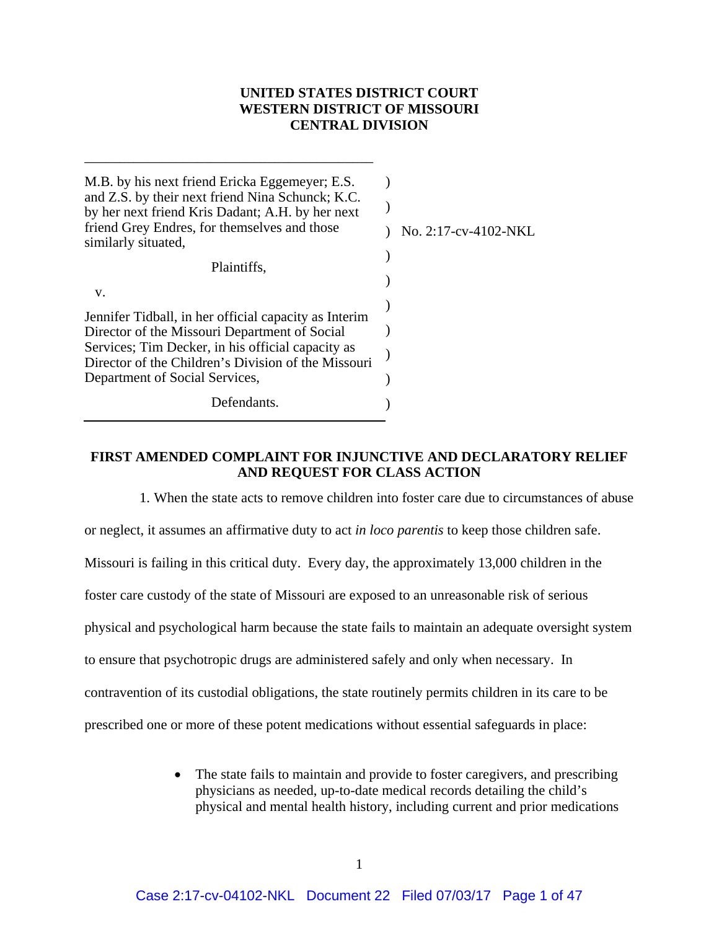# **UNITED STATES DISTRICT COURT WESTERN DISTRICT OF MISSOURI CENTRAL DIVISION**

| M.B. by his next friend Ericka Eggemeyer; E.S.<br>and Z.S. by their next friend Nina Schunck; K.C.<br>by her next friend Kris Dadant; A.H. by her next<br>friend Grey Endres, for themselves and those<br>similarly situated,<br>Plaintiffs,               | No. 2:17-cv-4102-NKL |
|------------------------------------------------------------------------------------------------------------------------------------------------------------------------------------------------------------------------------------------------------------|----------------------|
| v.<br>Jennifer Tidball, in her official capacity as Interim<br>Director of the Missouri Department of Social<br>Services; Tim Decker, in his official capacity as<br>Director of the Children's Division of the Missouri<br>Department of Social Services, |                      |
| Defendants.                                                                                                                                                                                                                                                |                      |

\_\_\_\_\_\_\_\_\_\_\_\_\_\_\_\_\_\_\_\_\_\_\_\_\_\_\_\_\_\_\_\_\_\_\_\_\_\_\_\_\_

## **FIRST AMENDED COMPLAINT FOR INJUNCTIVE AND DECLARATORY RELIEF AND REQUEST FOR CLASS ACTION**

1. When the state acts to remove children into foster care due to circumstances of abuse or neglect, it assumes an affirmative duty to act *in loco parentis* to keep those children safe. Missouri is failing in this critical duty. Every day, the approximately 13,000 children in the foster care custody of the state of Missouri are exposed to an unreasonable risk of serious physical and psychological harm because the state fails to maintain an adequate oversight system to ensure that psychotropic drugs are administered safely and only when necessary. In contravention of its custodial obligations, the state routinely permits children in its care to be prescribed one or more of these potent medications without essential safeguards in place:

> • The state fails to maintain and provide to foster caregivers, and prescribing physicians as needed, up-to-date medical records detailing the child's physical and mental health history, including current and prior medications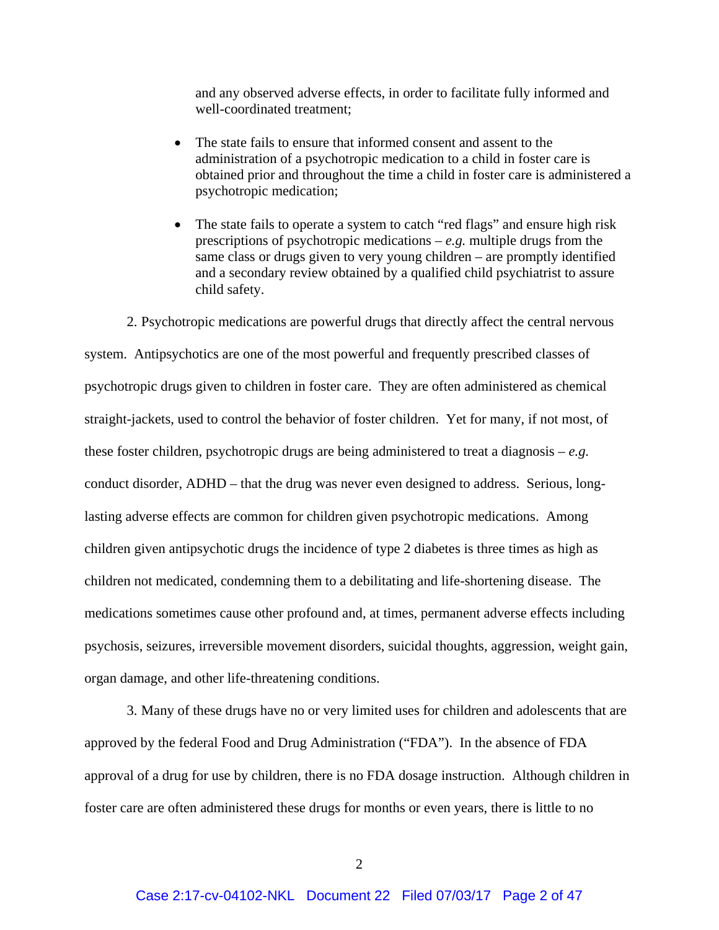and any observed adverse effects, in order to facilitate fully informed and well-coordinated treatment;

- The state fails to ensure that informed consent and assent to the administration of a psychotropic medication to a child in foster care is obtained prior and throughout the time a child in foster care is administered a psychotropic medication;
- The state fails to operate a system to catch "red flags" and ensure high risk prescriptions of psychotropic medications –  $e.g.$  multiple drugs from the same class or drugs given to very young children – are promptly identified and a secondary review obtained by a qualified child psychiatrist to assure child safety.

2. Psychotropic medications are powerful drugs that directly affect the central nervous system. Antipsychotics are one of the most powerful and frequently prescribed classes of psychotropic drugs given to children in foster care. They are often administered as chemical straight-jackets, used to control the behavior of foster children. Yet for many, if not most, of these foster children, psychotropic drugs are being administered to treat a diagnosis – *e.g.* conduct disorder, ADHD – that the drug was never even designed to address. Serious, longlasting adverse effects are common for children given psychotropic medications. Among children given antipsychotic drugs the incidence of type 2 diabetes is three times as high as children not medicated, condemning them to a debilitating and life-shortening disease. The medications sometimes cause other profound and, at times, permanent adverse effects including psychosis, seizures, irreversible movement disorders, suicidal thoughts, aggression, weight gain, organ damage, and other life-threatening conditions.

3. Many of these drugs have no or very limited uses for children and adolescents that are approved by the federal Food and Drug Administration ("FDA"). In the absence of FDA approval of a drug for use by children, there is no FDA dosage instruction. Although children in foster care are often administered these drugs for months or even years, there is little to no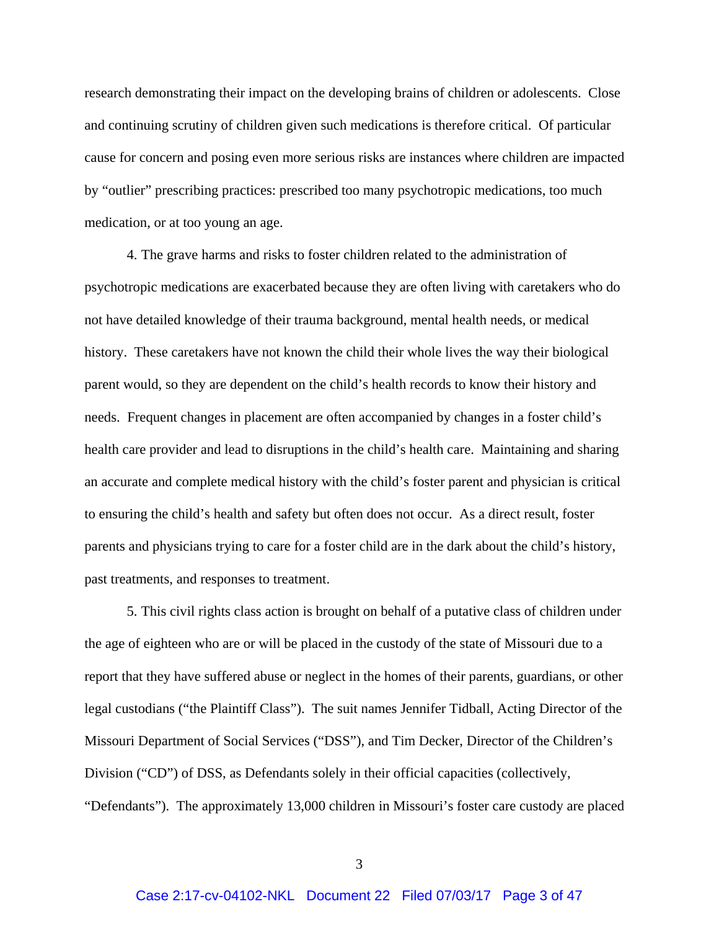research demonstrating their impact on the developing brains of children or adolescents. Close and continuing scrutiny of children given such medications is therefore critical. Of particular cause for concern and posing even more serious risks are instances where children are impacted by "outlier" prescribing practices: prescribed too many psychotropic medications, too much medication, or at too young an age.

4. The grave harms and risks to foster children related to the administration of psychotropic medications are exacerbated because they are often living with caretakers who do not have detailed knowledge of their trauma background, mental health needs, or medical history. These caretakers have not known the child their whole lives the way their biological parent would, so they are dependent on the child's health records to know their history and needs. Frequent changes in placement are often accompanied by changes in a foster child's health care provider and lead to disruptions in the child's health care. Maintaining and sharing an accurate and complete medical history with the child's foster parent and physician is critical to ensuring the child's health and safety but often does not occur. As a direct result, foster parents and physicians trying to care for a foster child are in the dark about the child's history, past treatments, and responses to treatment.

5. This civil rights class action is brought on behalf of a putative class of children under the age of eighteen who are or will be placed in the custody of the state of Missouri due to a report that they have suffered abuse or neglect in the homes of their parents, guardians, or other legal custodians ("the Plaintiff Class"). The suit names Jennifer Tidball, Acting Director of the Missouri Department of Social Services ("DSS"), and Tim Decker, Director of the Children's Division ("CD") of DSS, as Defendants solely in their official capacities (collectively, "Defendants"). The approximately 13,000 children in Missouri's foster care custody are placed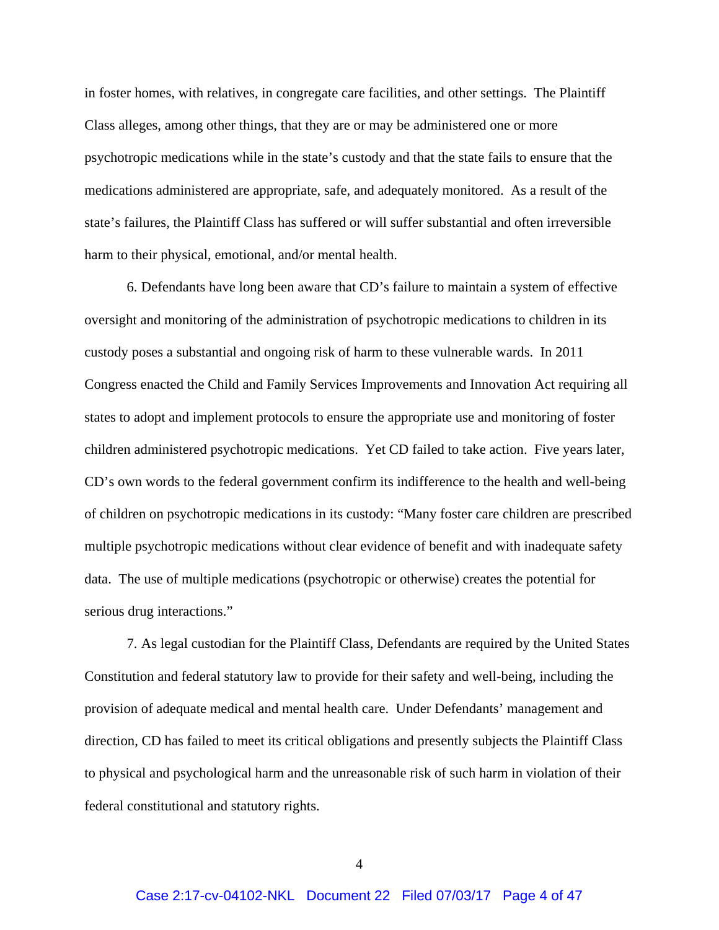in foster homes, with relatives, in congregate care facilities, and other settings. The Plaintiff Class alleges, among other things, that they are or may be administered one or more psychotropic medications while in the state's custody and that the state fails to ensure that the medications administered are appropriate, safe, and adequately monitored. As a result of the state's failures, the Plaintiff Class has suffered or will suffer substantial and often irreversible harm to their physical, emotional, and/or mental health.

6. Defendants have long been aware that CD's failure to maintain a system of effective oversight and monitoring of the administration of psychotropic medications to children in its custody poses a substantial and ongoing risk of harm to these vulnerable wards. In 2011 Congress enacted the Child and Family Services Improvements and Innovation Act requiring all states to adopt and implement protocols to ensure the appropriate use and monitoring of foster children administered psychotropic medications. Yet CD failed to take action. Five years later, CD's own words to the federal government confirm its indifference to the health and well-being of children on psychotropic medications in its custody: "Many foster care children are prescribed multiple psychotropic medications without clear evidence of benefit and with inadequate safety data. The use of multiple medications (psychotropic or otherwise) creates the potential for serious drug interactions."

7. As legal custodian for the Plaintiff Class, Defendants are required by the United States Constitution and federal statutory law to provide for their safety and well-being, including the provision of adequate medical and mental health care. Under Defendants' management and direction, CD has failed to meet its critical obligations and presently subjects the Plaintiff Class to physical and psychological harm and the unreasonable risk of such harm in violation of their federal constitutional and statutory rights.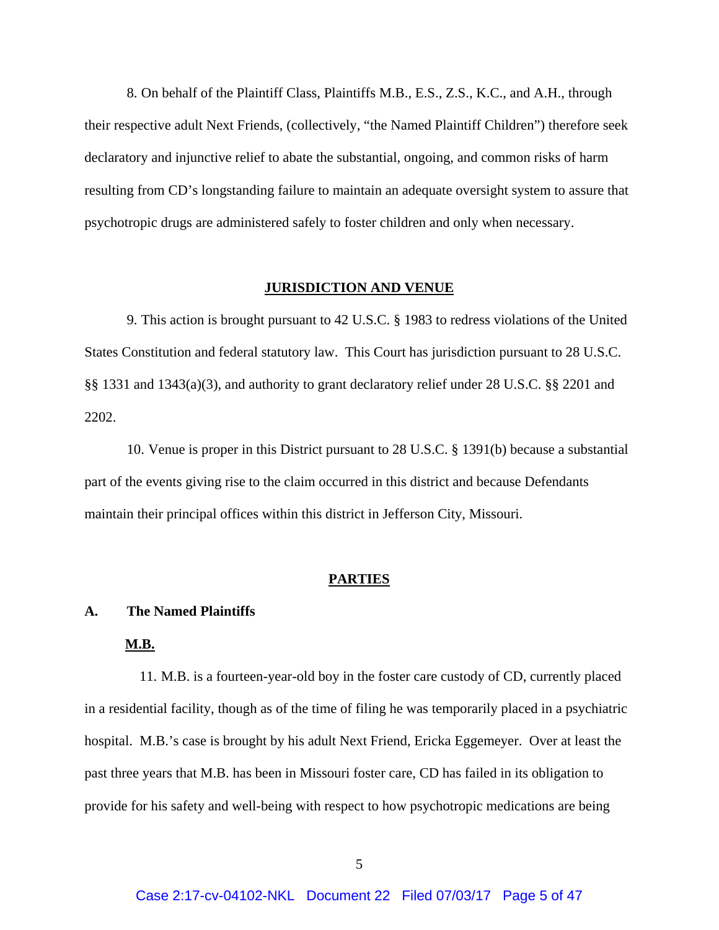8. On behalf of the Plaintiff Class, Plaintiffs M.B., E.S., Z.S., K.C., and A.H., through their respective adult Next Friends, (collectively, "the Named Plaintiff Children") therefore seek declaratory and injunctive relief to abate the substantial, ongoing, and common risks of harm resulting from CD's longstanding failure to maintain an adequate oversight system to assure that psychotropic drugs are administered safely to foster children and only when necessary.

#### **JURISDICTION AND VENUE**

9. This action is brought pursuant to 42 U.S.C. § 1983 to redress violations of the United States Constitution and federal statutory law. This Court has jurisdiction pursuant to 28 U.S.C. §§ 1331 and 1343(a)(3), and authority to grant declaratory relief under 28 U.S.C. §§ 2201 and 2202.

10. Venue is proper in this District pursuant to 28 U.S.C. § 1391(b) because a substantial part of the events giving rise to the claim occurred in this district and because Defendants maintain their principal offices within this district in Jefferson City, Missouri.

#### **PARTIES**

#### **A. The Named Plaintiffs**

## **M.B.**

11. M.B. is a fourteen-year-old boy in the foster care custody of CD, currently placed in a residential facility, though as of the time of filing he was temporarily placed in a psychiatric hospital. M.B.'s case is brought by his adult Next Friend, Ericka Eggemeyer. Over at least the past three years that M.B. has been in Missouri foster care, CD has failed in its obligation to provide for his safety and well-being with respect to how psychotropic medications are being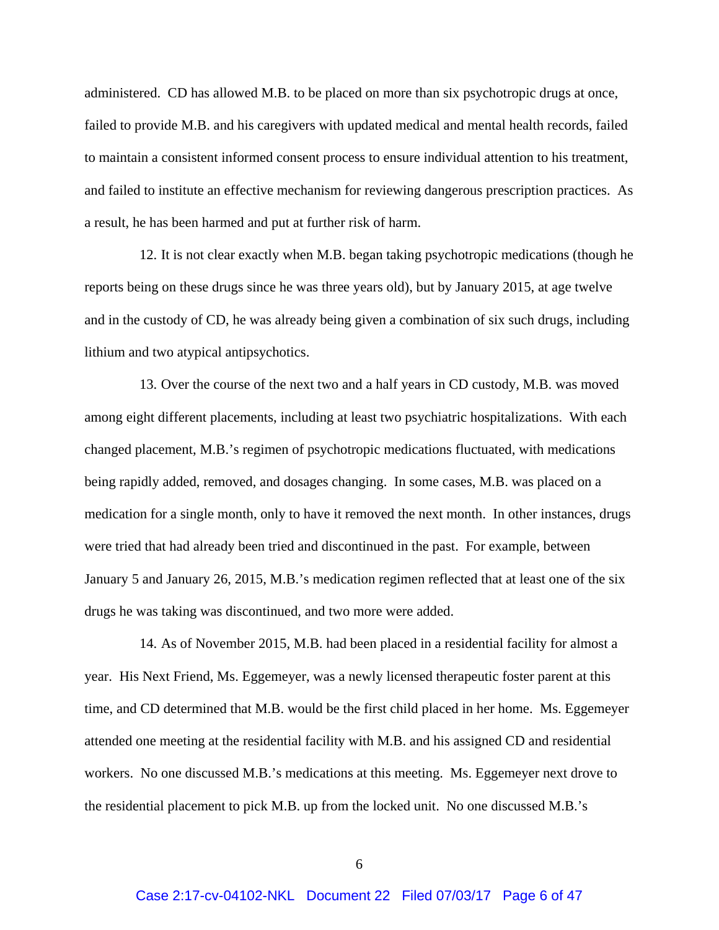administered. CD has allowed M.B. to be placed on more than six psychotropic drugs at once, failed to provide M.B. and his caregivers with updated medical and mental health records, failed to maintain a consistent informed consent process to ensure individual attention to his treatment, and failed to institute an effective mechanism for reviewing dangerous prescription practices. As a result, he has been harmed and put at further risk of harm.

12. It is not clear exactly when M.B. began taking psychotropic medications (though he reports being on these drugs since he was three years old), but by January 2015, at age twelve and in the custody of CD, he was already being given a combination of six such drugs, including lithium and two atypical antipsychotics.

13. Over the course of the next two and a half years in CD custody, M.B. was moved among eight different placements, including at least two psychiatric hospitalizations. With each changed placement, M.B.'s regimen of psychotropic medications fluctuated, with medications being rapidly added, removed, and dosages changing. In some cases, M.B. was placed on a medication for a single month, only to have it removed the next month. In other instances, drugs were tried that had already been tried and discontinued in the past. For example, between January 5 and January 26, 2015, M.B.'s medication regimen reflected that at least one of the six drugs he was taking was discontinued, and two more were added.

14. As of November 2015, M.B. had been placed in a residential facility for almost a year. His Next Friend, Ms. Eggemeyer, was a newly licensed therapeutic foster parent at this time, and CD determined that M.B. would be the first child placed in her home. Ms. Eggemeyer attended one meeting at the residential facility with M.B. and his assigned CD and residential workers. No one discussed M.B.'s medications at this meeting. Ms. Eggemeyer next drove to the residential placement to pick M.B. up from the locked unit. No one discussed M.B.'s

6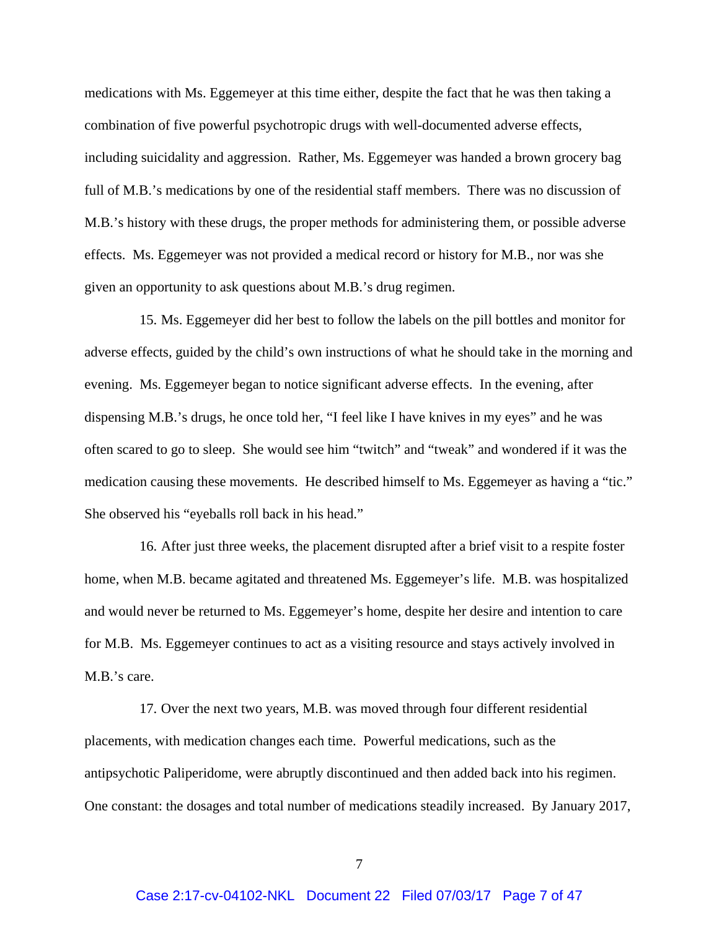medications with Ms. Eggemeyer at this time either, despite the fact that he was then taking a combination of five powerful psychotropic drugs with well-documented adverse effects, including suicidality and aggression. Rather, Ms. Eggemeyer was handed a brown grocery bag full of M.B.'s medications by one of the residential staff members. There was no discussion of M.B.'s history with these drugs, the proper methods for administering them, or possible adverse effects. Ms. Eggemeyer was not provided a medical record or history for M.B., nor was she given an opportunity to ask questions about M.B.'s drug regimen.

15. Ms. Eggemeyer did her best to follow the labels on the pill bottles and monitor for adverse effects, guided by the child's own instructions of what he should take in the morning and evening. Ms. Eggemeyer began to notice significant adverse effects. In the evening, after dispensing M.B.'s drugs, he once told her, "I feel like I have knives in my eyes" and he was often scared to go to sleep. She would see him "twitch" and "tweak" and wondered if it was the medication causing these movements. He described himself to Ms. Eggemeyer as having a "tic." She observed his "eyeballs roll back in his head."

16. After just three weeks, the placement disrupted after a brief visit to a respite foster home, when M.B. became agitated and threatened Ms. Eggemeyer's life. M.B. was hospitalized and would never be returned to Ms. Eggemeyer's home, despite her desire and intention to care for M.B. Ms. Eggemeyer continues to act as a visiting resource and stays actively involved in M.B.'s care.

17. Over the next two years, M.B. was moved through four different residential placements, with medication changes each time. Powerful medications, such as the antipsychotic Paliperidome, were abruptly discontinued and then added back into his regimen. One constant: the dosages and total number of medications steadily increased. By January 2017,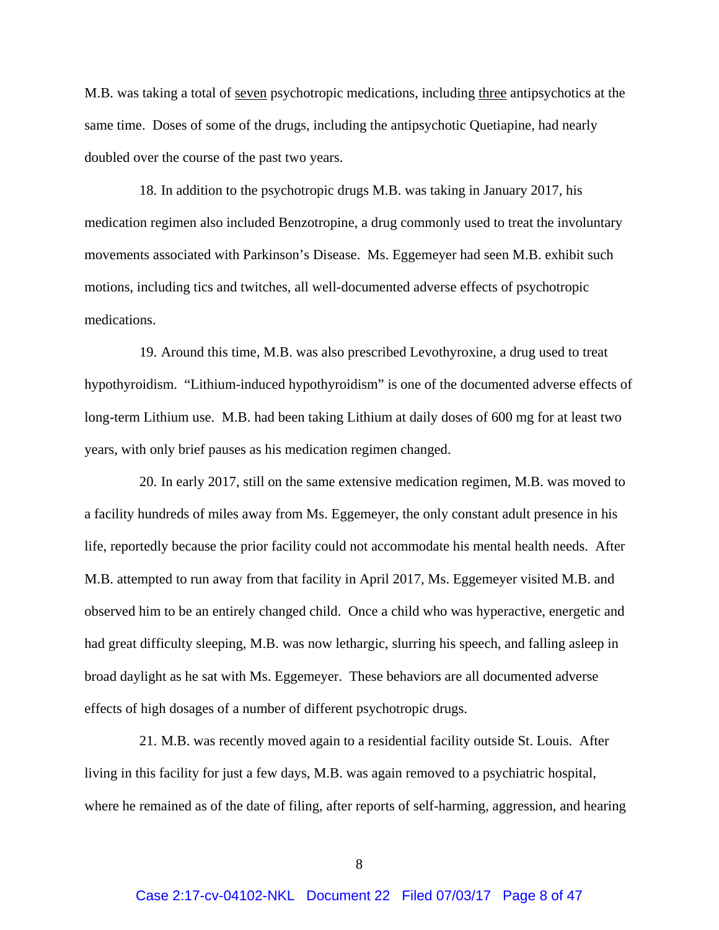M.B. was taking a total of seven psychotropic medications, including three antipsychotics at the same time. Doses of some of the drugs, including the antipsychotic Quetiapine, had nearly doubled over the course of the past two years.

18. In addition to the psychotropic drugs M.B. was taking in January 2017, his medication regimen also included Benzotropine, a drug commonly used to treat the involuntary movements associated with Parkinson's Disease. Ms. Eggemeyer had seen M.B. exhibit such motions, including tics and twitches, all well-documented adverse effects of psychotropic medications.

19. Around this time, M.B. was also prescribed Levothyroxine, a drug used to treat hypothyroidism. "Lithium-induced hypothyroidism" is one of the documented adverse effects of long-term Lithium use. M.B. had been taking Lithium at daily doses of 600 mg for at least two years, with only brief pauses as his medication regimen changed.

20. In early 2017, still on the same extensive medication regimen, M.B. was moved to a facility hundreds of miles away from Ms. Eggemeyer, the only constant adult presence in his life, reportedly because the prior facility could not accommodate his mental health needs. After M.B. attempted to run away from that facility in April 2017, Ms. Eggemeyer visited M.B. and observed him to be an entirely changed child. Once a child who was hyperactive, energetic and had great difficulty sleeping, M.B. was now lethargic, slurring his speech, and falling asleep in broad daylight as he sat with Ms. Eggemeyer. These behaviors are all documented adverse effects of high dosages of a number of different psychotropic drugs.

21. M.B. was recently moved again to a residential facility outside St. Louis. After living in this facility for just a few days, M.B. was again removed to a psychiatric hospital, where he remained as of the date of filing, after reports of self-harming, aggression, and hearing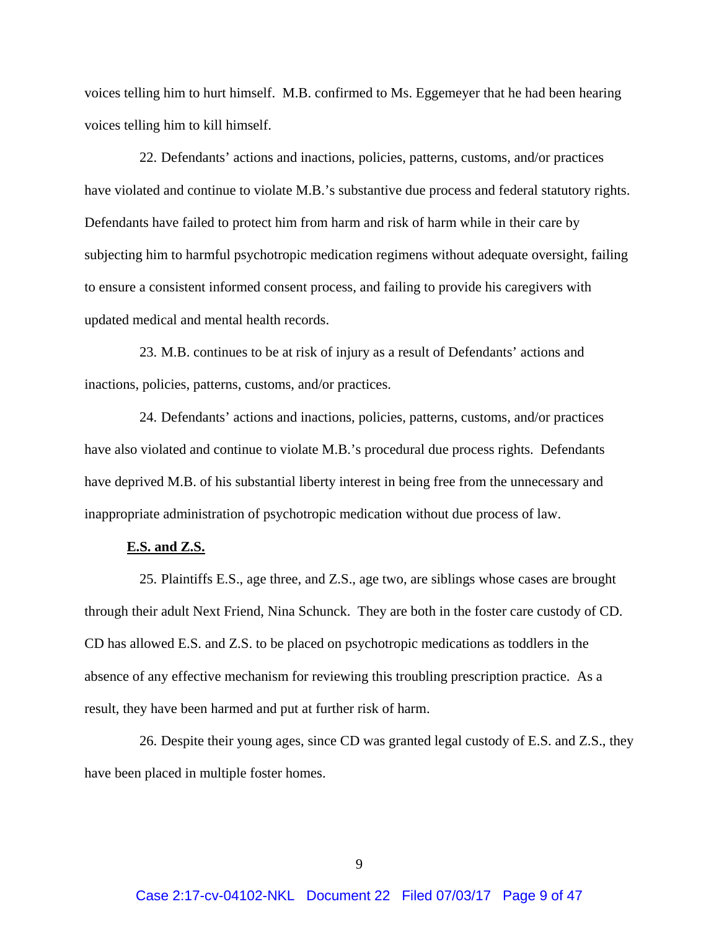voices telling him to hurt himself. M.B. confirmed to Ms. Eggemeyer that he had been hearing voices telling him to kill himself.

22. Defendants' actions and inactions, policies, patterns, customs, and/or practices have violated and continue to violate M.B.'s substantive due process and federal statutory rights. Defendants have failed to protect him from harm and risk of harm while in their care by subjecting him to harmful psychotropic medication regimens without adequate oversight, failing to ensure a consistent informed consent process, and failing to provide his caregivers with updated medical and mental health records.

23. M.B. continues to be at risk of injury as a result of Defendants' actions and inactions, policies, patterns, customs, and/or practices.

24. Defendants' actions and inactions, policies, patterns, customs, and/or practices have also violated and continue to violate M.B.'s procedural due process rights. Defendants have deprived M.B. of his substantial liberty interest in being free from the unnecessary and inappropriate administration of psychotropic medication without due process of law.

#### **E.S. and Z.S.**

25. Plaintiffs E.S., age three, and Z.S., age two, are siblings whose cases are brought through their adult Next Friend, Nina Schunck. They are both in the foster care custody of CD. CD has allowed E.S. and Z.S. to be placed on psychotropic medications as toddlers in the absence of any effective mechanism for reviewing this troubling prescription practice. As a result, they have been harmed and put at further risk of harm.

26. Despite their young ages, since CD was granted legal custody of E.S. and Z.S., they have been placed in multiple foster homes.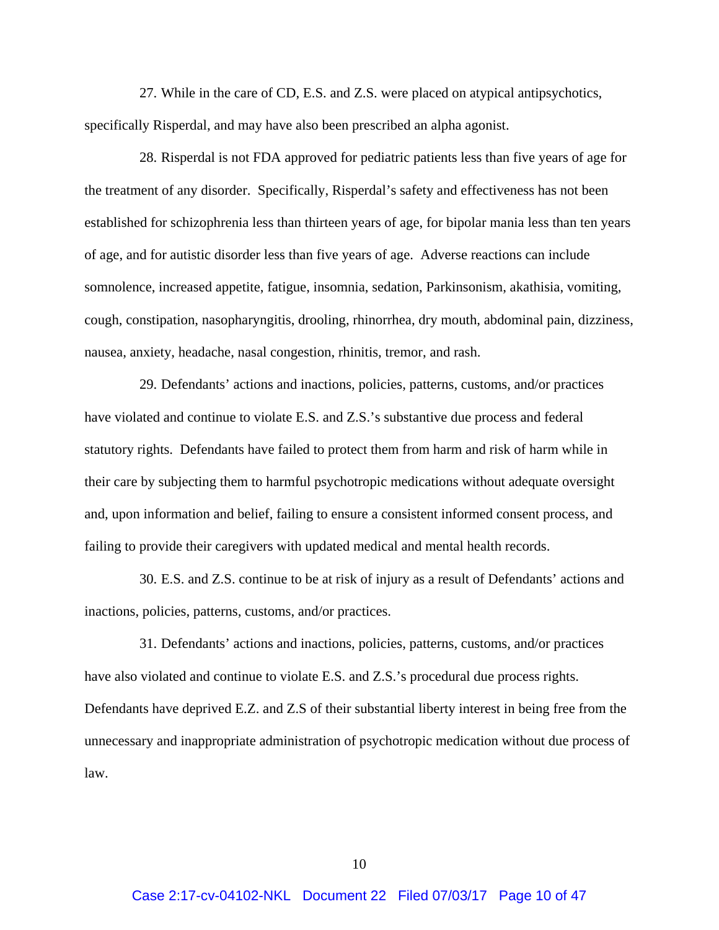27. While in the care of CD, E.S. and Z.S. were placed on atypical antipsychotics, specifically Risperdal, and may have also been prescribed an alpha agonist.

28. Risperdal is not FDA approved for pediatric patients less than five years of age for the treatment of any disorder. Specifically, Risperdal's safety and effectiveness has not been established for schizophrenia less than thirteen years of age, for bipolar mania less than ten years of age, and for autistic disorder less than five years of age. Adverse reactions can include somnolence, increased appetite, fatigue, insomnia, sedation, Parkinsonism, akathisia, vomiting, cough, constipation, nasopharyngitis, drooling, rhinorrhea, dry mouth, abdominal pain, dizziness, nausea, anxiety, headache, nasal congestion, rhinitis, tremor, and rash.

29. Defendants' actions and inactions, policies, patterns, customs, and/or practices have violated and continue to violate E.S. and Z.S.'s substantive due process and federal statutory rights. Defendants have failed to protect them from harm and risk of harm while in their care by subjecting them to harmful psychotropic medications without adequate oversight and, upon information and belief, failing to ensure a consistent informed consent process, and failing to provide their caregivers with updated medical and mental health records.

30. E.S. and Z.S. continue to be at risk of injury as a result of Defendants' actions and inactions, policies, patterns, customs, and/or practices.

31. Defendants' actions and inactions, policies, patterns, customs, and/or practices have also violated and continue to violate E.S. and Z.S.'s procedural due process rights. Defendants have deprived E.Z. and Z.S of their substantial liberty interest in being free from the unnecessary and inappropriate administration of psychotropic medication without due process of law.

10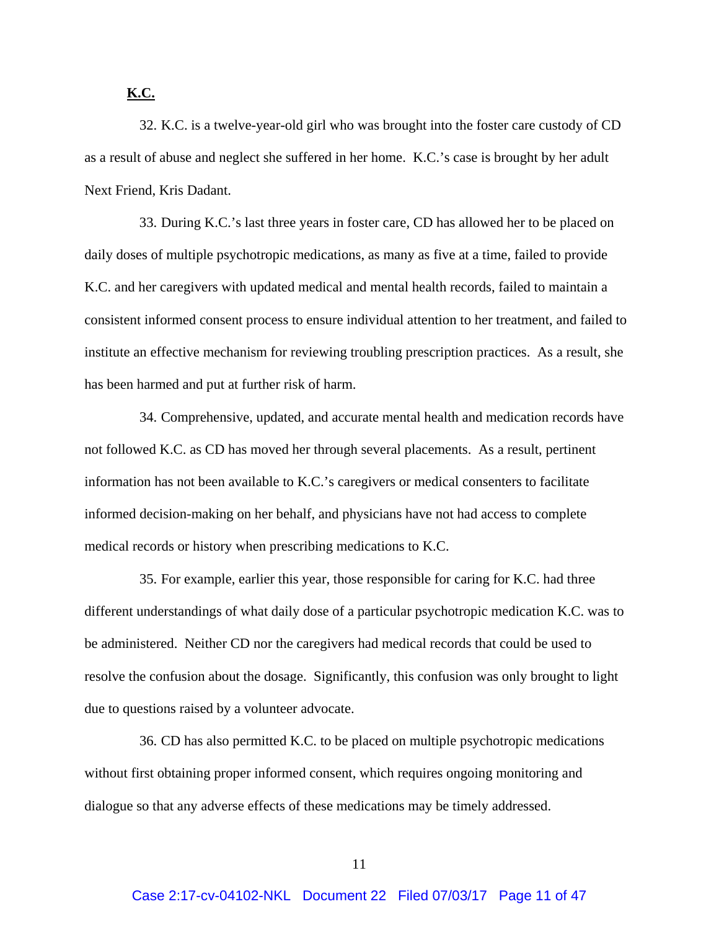# **K.C.**

32. K.C. is a twelve-year-old girl who was brought into the foster care custody of CD as a result of abuse and neglect she suffered in her home. K.C.'s case is brought by her adult Next Friend, Kris Dadant.

33. During K.C.'s last three years in foster care, CD has allowed her to be placed on daily doses of multiple psychotropic medications, as many as five at a time, failed to provide K.C. and her caregivers with updated medical and mental health records, failed to maintain a consistent informed consent process to ensure individual attention to her treatment, and failed to institute an effective mechanism for reviewing troubling prescription practices. As a result, she has been harmed and put at further risk of harm.

34. Comprehensive, updated, and accurate mental health and medication records have not followed K.C. as CD has moved her through several placements. As a result, pertinent information has not been available to K.C.'s caregivers or medical consenters to facilitate informed decision-making on her behalf, and physicians have not had access to complete medical records or history when prescribing medications to K.C.

35. For example, earlier this year, those responsible for caring for K.C. had three different understandings of what daily dose of a particular psychotropic medication K.C. was to be administered. Neither CD nor the caregivers had medical records that could be used to resolve the confusion about the dosage. Significantly, this confusion was only brought to light due to questions raised by a volunteer advocate.

36. CD has also permitted K.C. to be placed on multiple psychotropic medications without first obtaining proper informed consent, which requires ongoing monitoring and dialogue so that any adverse effects of these medications may be timely addressed.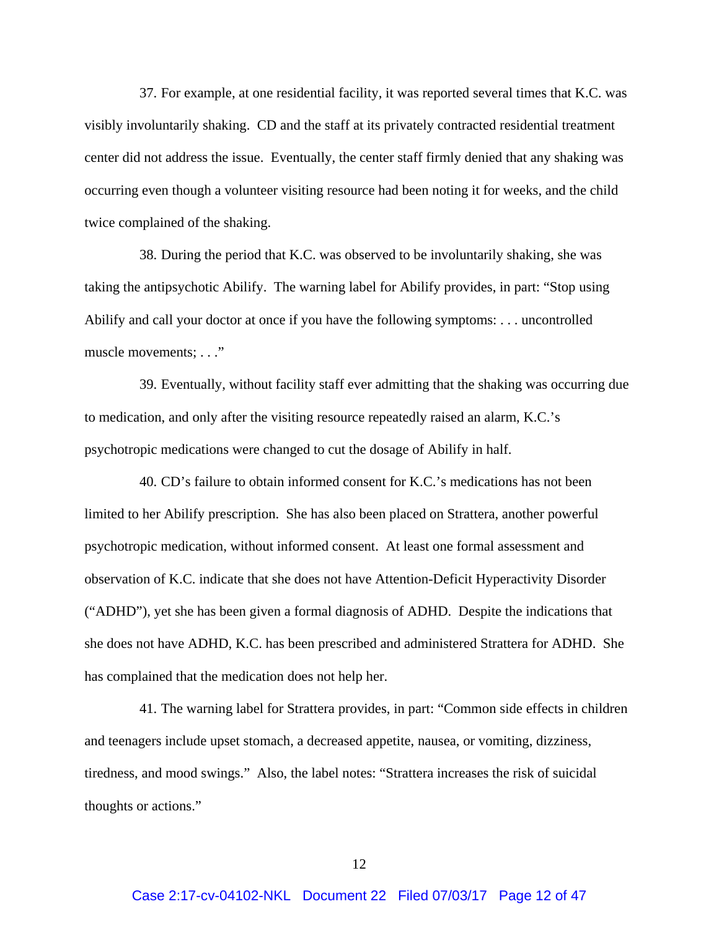37. For example, at one residential facility, it was reported several times that K.C. was visibly involuntarily shaking. CD and the staff at its privately contracted residential treatment center did not address the issue. Eventually, the center staff firmly denied that any shaking was occurring even though a volunteer visiting resource had been noting it for weeks, and the child twice complained of the shaking.

38. During the period that K.C. was observed to be involuntarily shaking, she was taking the antipsychotic Abilify. The warning label for Abilify provides, in part: "Stop using Abilify and call your doctor at once if you have the following symptoms: . . . uncontrolled muscle movements; . . ."

39. Eventually, without facility staff ever admitting that the shaking was occurring due to medication, and only after the visiting resource repeatedly raised an alarm, K.C.'s psychotropic medications were changed to cut the dosage of Abilify in half.

40. CD's failure to obtain informed consent for K.C.'s medications has not been limited to her Abilify prescription. She has also been placed on Strattera, another powerful psychotropic medication, without informed consent. At least one formal assessment and observation of K.C. indicate that she does not have Attention-Deficit Hyperactivity Disorder ("ADHD"), yet she has been given a formal diagnosis of ADHD. Despite the indications that she does not have ADHD, K.C. has been prescribed and administered Strattera for ADHD. She has complained that the medication does not help her.

41. The warning label for Strattera provides, in part: "Common side effects in children and teenagers include upset stomach, a decreased appetite, nausea, or vomiting, dizziness, tiredness, and mood swings." Also, the label notes: "Strattera increases the risk of suicidal thoughts or actions."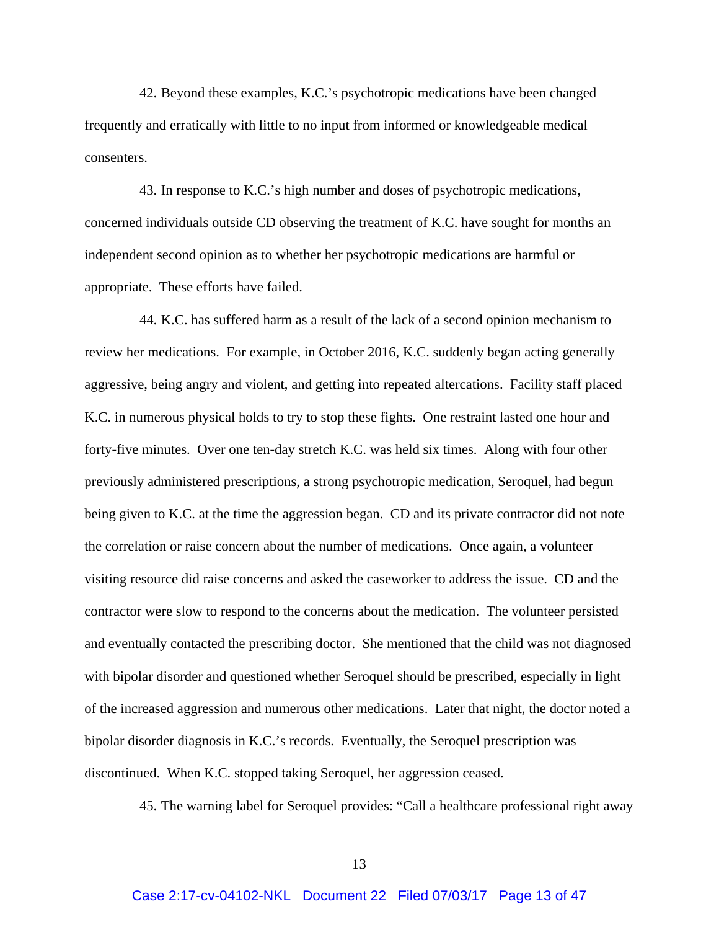42. Beyond these examples, K.C.'s psychotropic medications have been changed frequently and erratically with little to no input from informed or knowledgeable medical consenters.

43. In response to K.C.'s high number and doses of psychotropic medications, concerned individuals outside CD observing the treatment of K.C. have sought for months an independent second opinion as to whether her psychotropic medications are harmful or appropriate. These efforts have failed.

44. K.C. has suffered harm as a result of the lack of a second opinion mechanism to review her medications. For example, in October 2016, K.C. suddenly began acting generally aggressive, being angry and violent, and getting into repeated altercations. Facility staff placed K.C. in numerous physical holds to try to stop these fights. One restraint lasted one hour and forty-five minutes. Over one ten-day stretch K.C. was held six times. Along with four other previously administered prescriptions, a strong psychotropic medication, Seroquel, had begun being given to K.C. at the time the aggression began. CD and its private contractor did not note the correlation or raise concern about the number of medications. Once again, a volunteer visiting resource did raise concerns and asked the caseworker to address the issue. CD and the contractor were slow to respond to the concerns about the medication. The volunteer persisted and eventually contacted the prescribing doctor. She mentioned that the child was not diagnosed with bipolar disorder and questioned whether Seroquel should be prescribed, especially in light of the increased aggression and numerous other medications. Later that night, the doctor noted a bipolar disorder diagnosis in K.C.'s records. Eventually, the Seroquel prescription was discontinued. When K.C. stopped taking Seroquel, her aggression ceased.

45. The warning label for Seroquel provides: "Call a healthcare professional right away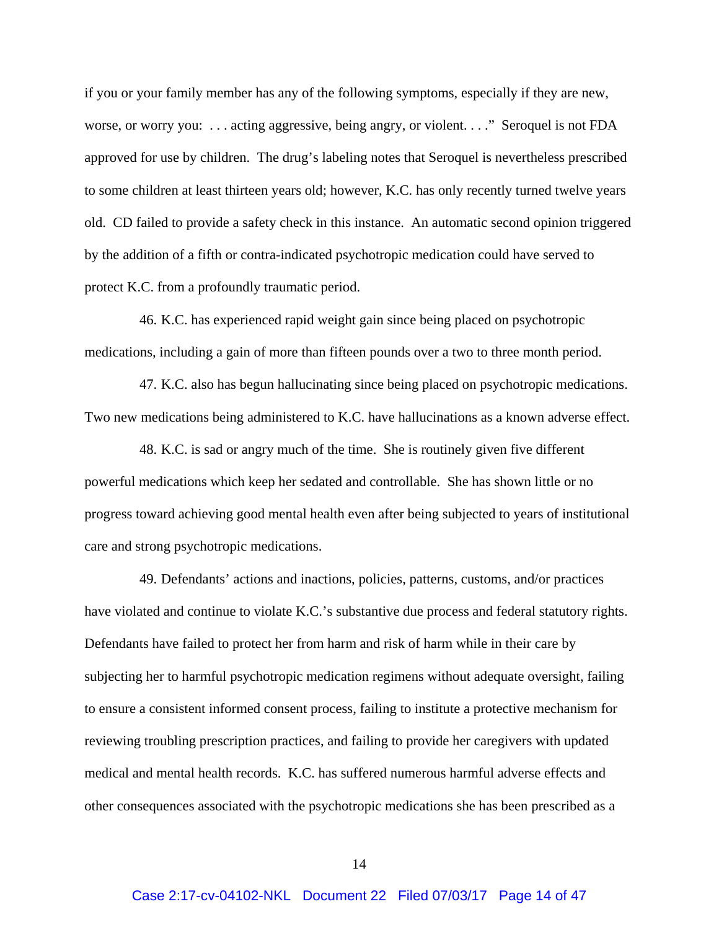if you or your family member has any of the following symptoms, especially if they are new, worse, or worry you: . . . acting aggressive, being angry, or violent. . . ." Seroquel is not FDA approved for use by children. The drug's labeling notes that Seroquel is nevertheless prescribed to some children at least thirteen years old; however, K.C. has only recently turned twelve years old. CD failed to provide a safety check in this instance. An automatic second opinion triggered by the addition of a fifth or contra-indicated psychotropic medication could have served to protect K.C. from a profoundly traumatic period.

46. K.C. has experienced rapid weight gain since being placed on psychotropic medications, including a gain of more than fifteen pounds over a two to three month period.

47. K.C. also has begun hallucinating since being placed on psychotropic medications. Two new medications being administered to K.C. have hallucinations as a known adverse effect.

48. K.C. is sad or angry much of the time. She is routinely given five different powerful medications which keep her sedated and controllable. She has shown little or no progress toward achieving good mental health even after being subjected to years of institutional care and strong psychotropic medications.

49. Defendants' actions and inactions, policies, patterns, customs, and/or practices have violated and continue to violate K.C.'s substantive due process and federal statutory rights. Defendants have failed to protect her from harm and risk of harm while in their care by subjecting her to harmful psychotropic medication regimens without adequate oversight, failing to ensure a consistent informed consent process, failing to institute a protective mechanism for reviewing troubling prescription practices, and failing to provide her caregivers with updated medical and mental health records. K.C. has suffered numerous harmful adverse effects and other consequences associated with the psychotropic medications she has been prescribed as a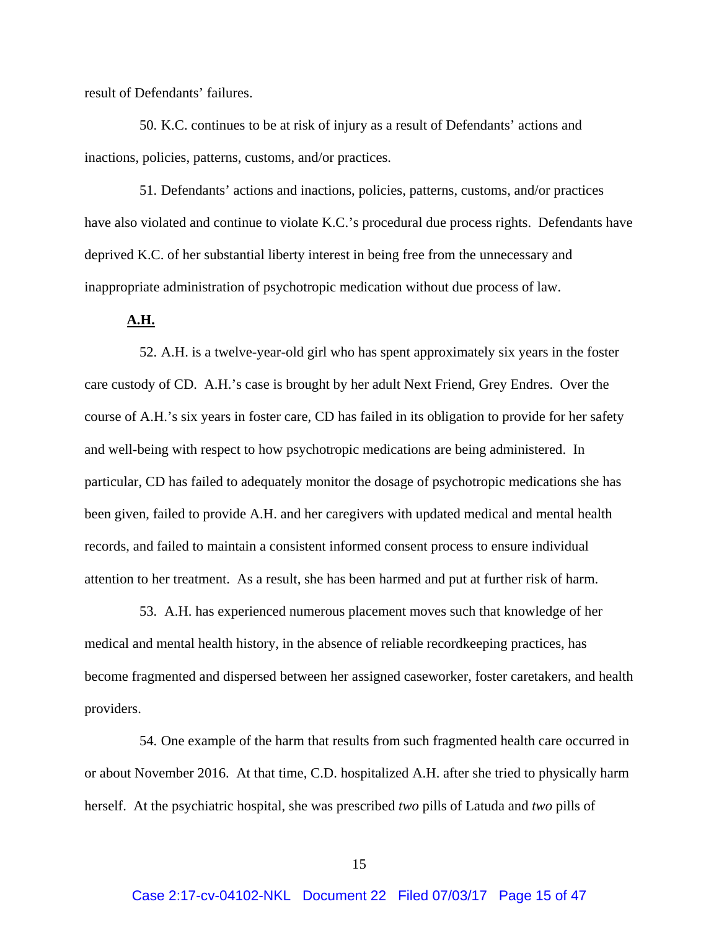result of Defendants' failures.

50. K.C. continues to be at risk of injury as a result of Defendants' actions and inactions, policies, patterns, customs, and/or practices.

51. Defendants' actions and inactions, policies, patterns, customs, and/or practices have also violated and continue to violate K.C.'s procedural due process rights. Defendants have deprived K.C. of her substantial liberty interest in being free from the unnecessary and inappropriate administration of psychotropic medication without due process of law.

### **A.H.**

52. A.H. is a twelve-year-old girl who has spent approximately six years in the foster care custody of CD. A.H.'s case is brought by her adult Next Friend, Grey Endres. Over the course of A.H.'s six years in foster care, CD has failed in its obligation to provide for her safety and well-being with respect to how psychotropic medications are being administered. In particular, CD has failed to adequately monitor the dosage of psychotropic medications she has been given, failed to provide A.H. and her caregivers with updated medical and mental health records, and failed to maintain a consistent informed consent process to ensure individual attention to her treatment. As a result, she has been harmed and put at further risk of harm.

53. A.H. has experienced numerous placement moves such that knowledge of her medical and mental health history, in the absence of reliable recordkeeping practices, has become fragmented and dispersed between her assigned caseworker, foster caretakers, and health providers.

54. One example of the harm that results from such fragmented health care occurred in or about November 2016. At that time, C.D. hospitalized A.H. after she tried to physically harm herself. At the psychiatric hospital, she was prescribed *two* pills of Latuda and *two* pills of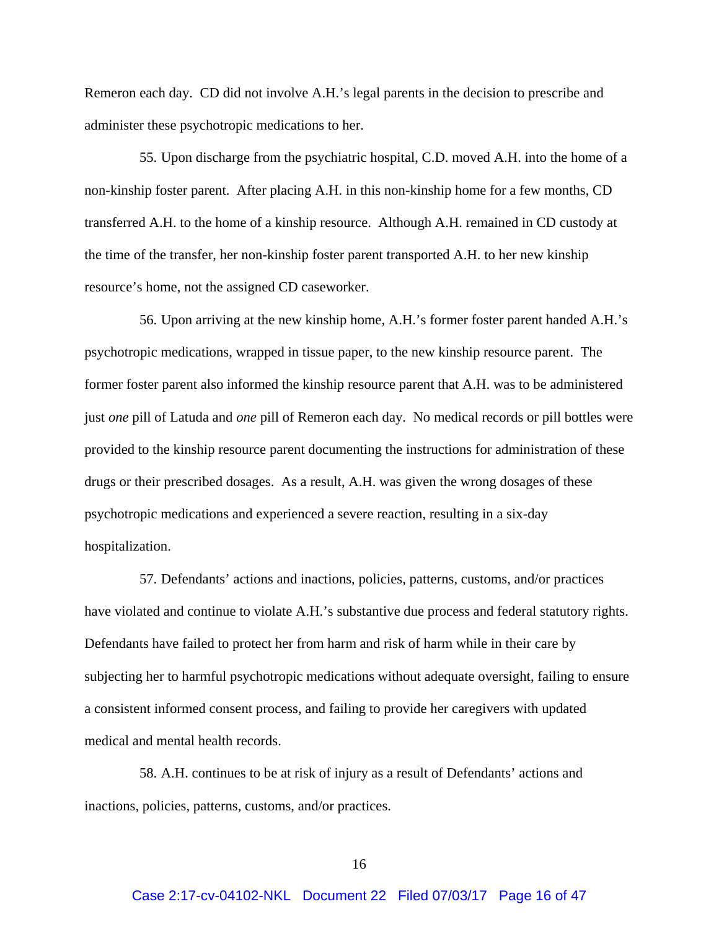Remeron each day. CD did not involve A.H.'s legal parents in the decision to prescribe and administer these psychotropic medications to her.

55. Upon discharge from the psychiatric hospital, C.D. moved A.H. into the home of a non-kinship foster parent. After placing A.H. in this non-kinship home for a few months, CD transferred A.H. to the home of a kinship resource. Although A.H. remained in CD custody at the time of the transfer, her non-kinship foster parent transported A.H. to her new kinship resource's home, not the assigned CD caseworker.

56. Upon arriving at the new kinship home, A.H.'s former foster parent handed A.H.'s psychotropic medications, wrapped in tissue paper, to the new kinship resource parent. The former foster parent also informed the kinship resource parent that A.H. was to be administered just *one* pill of Latuda and *one* pill of Remeron each day. No medical records or pill bottles were provided to the kinship resource parent documenting the instructions for administration of these drugs or their prescribed dosages. As a result, A.H. was given the wrong dosages of these psychotropic medications and experienced a severe reaction, resulting in a six-day hospitalization.

57. Defendants' actions and inactions, policies, patterns, customs, and/or practices have violated and continue to violate A.H.'s substantive due process and federal statutory rights. Defendants have failed to protect her from harm and risk of harm while in their care by subjecting her to harmful psychotropic medications without adequate oversight, failing to ensure a consistent informed consent process, and failing to provide her caregivers with updated medical and mental health records.

58. A.H. continues to be at risk of injury as a result of Defendants' actions and inactions, policies, patterns, customs, and/or practices.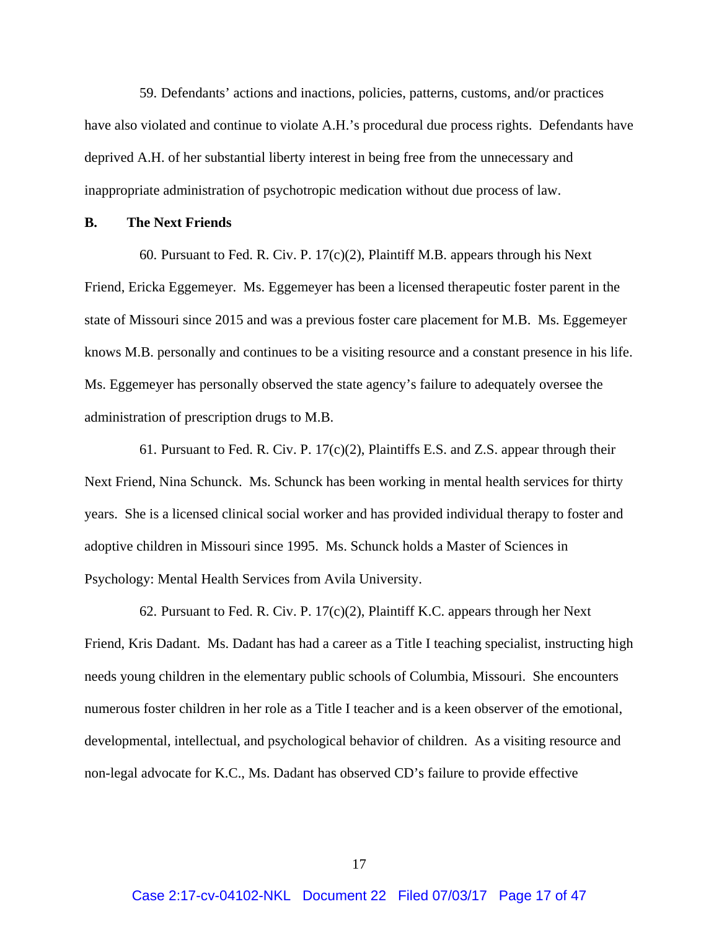59. Defendants' actions and inactions, policies, patterns, customs, and/or practices have also violated and continue to violate A.H.'s procedural due process rights. Defendants have deprived A.H. of her substantial liberty interest in being free from the unnecessary and inappropriate administration of psychotropic medication without due process of law.

#### **B. The Next Friends**

60. Pursuant to Fed. R. Civ. P. 17(c)(2), Plaintiff M.B. appears through his Next Friend, Ericka Eggemeyer. Ms. Eggemeyer has been a licensed therapeutic foster parent in the state of Missouri since 2015 and was a previous foster care placement for M.B. Ms. Eggemeyer knows M.B. personally and continues to be a visiting resource and a constant presence in his life. Ms. Eggemeyer has personally observed the state agency's failure to adequately oversee the administration of prescription drugs to M.B.

61. Pursuant to Fed. R. Civ. P. 17(c)(2), Plaintiffs E.S. and Z.S. appear through their Next Friend, Nina Schunck. Ms. Schunck has been working in mental health services for thirty years. She is a licensed clinical social worker and has provided individual therapy to foster and adoptive children in Missouri since 1995. Ms. Schunck holds a Master of Sciences in Psychology: Mental Health Services from Avila University.

62. Pursuant to Fed. R. Civ. P.  $17(c)(2)$ , Plaintiff K.C. appears through her Next Friend, Kris Dadant. Ms. Dadant has had a career as a Title I teaching specialist, instructing high needs young children in the elementary public schools of Columbia, Missouri. She encounters numerous foster children in her role as a Title I teacher and is a keen observer of the emotional, developmental, intellectual, and psychological behavior of children. As a visiting resource and non-legal advocate for K.C., Ms. Dadant has observed CD's failure to provide effective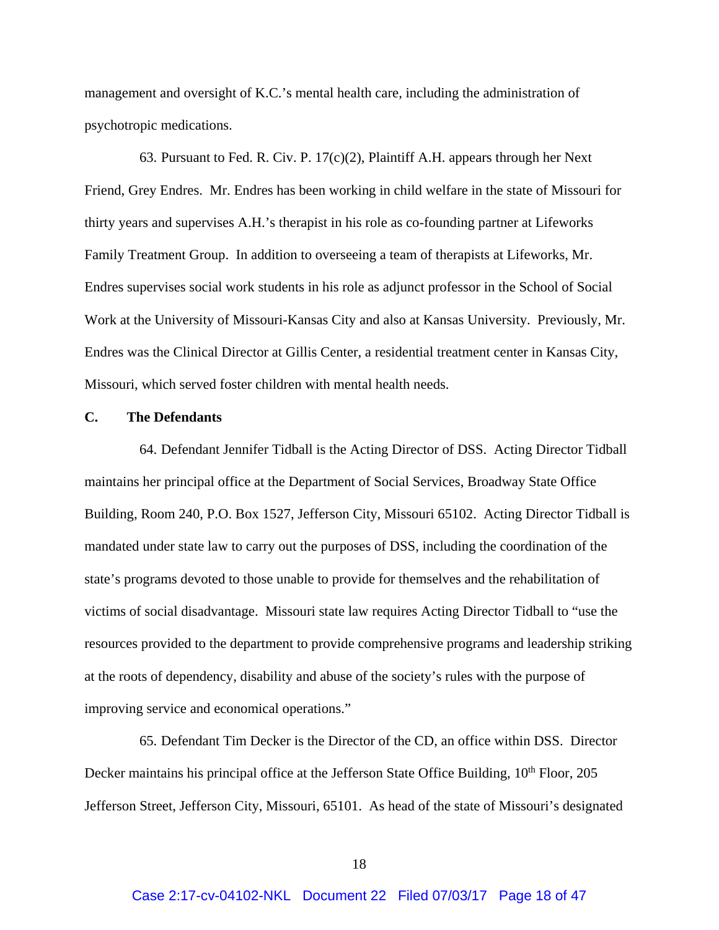management and oversight of K.C.'s mental health care, including the administration of psychotropic medications.

63. Pursuant to Fed. R. Civ. P. 17(c)(2), Plaintiff A.H. appears through her Next Friend, Grey Endres. Mr. Endres has been working in child welfare in the state of Missouri for thirty years and supervises A.H.'s therapist in his role as co-founding partner at Lifeworks Family Treatment Group. In addition to overseeing a team of therapists at Lifeworks, Mr. Endres supervises social work students in his role as adjunct professor in the School of Social Work at the University of Missouri-Kansas City and also at Kansas University. Previously, Mr. Endres was the Clinical Director at Gillis Center, a residential treatment center in Kansas City, Missouri, which served foster children with mental health needs.

#### **C. The Defendants**

64. Defendant Jennifer Tidball is the Acting Director of DSS. Acting Director Tidball maintains her principal office at the Department of Social Services, Broadway State Office Building, Room 240, P.O. Box 1527, Jefferson City, Missouri 65102. Acting Director Tidball is mandated under state law to carry out the purposes of DSS, including the coordination of the state's programs devoted to those unable to provide for themselves and the rehabilitation of victims of social disadvantage. Missouri state law requires Acting Director Tidball to "use the resources provided to the department to provide comprehensive programs and leadership striking at the roots of dependency, disability and abuse of the society's rules with the purpose of improving service and economical operations."

65. Defendant Tim Decker is the Director of the CD, an office within DSS. Director Decker maintains his principal office at the Jefferson State Office Building,  $10<sup>th</sup>$  Floor, 205 Jefferson Street, Jefferson City, Missouri, 65101. As head of the state of Missouri's designated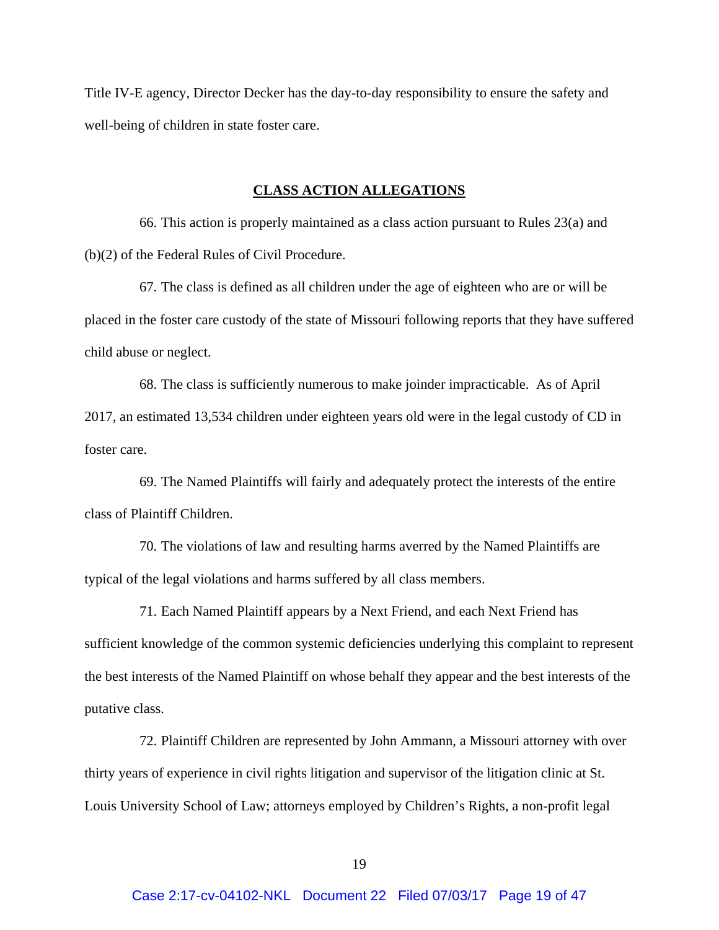Title IV-E agency, Director Decker has the day-to-day responsibility to ensure the safety and well-being of children in state foster care.

#### **CLASS ACTION ALLEGATIONS**

66. This action is properly maintained as a class action pursuant to Rules 23(a) and (b)(2) of the Federal Rules of Civil Procedure.

67. The class is defined as all children under the age of eighteen who are or will be placed in the foster care custody of the state of Missouri following reports that they have suffered child abuse or neglect.

68. The class is sufficiently numerous to make joinder impracticable. As of April 2017, an estimated 13,534 children under eighteen years old were in the legal custody of CD in foster care.

69. The Named Plaintiffs will fairly and adequately protect the interests of the entire class of Plaintiff Children.

70. The violations of law and resulting harms averred by the Named Plaintiffs are typical of the legal violations and harms suffered by all class members.

71. Each Named Plaintiff appears by a Next Friend, and each Next Friend has sufficient knowledge of the common systemic deficiencies underlying this complaint to represent the best interests of the Named Plaintiff on whose behalf they appear and the best interests of the putative class.

72. Plaintiff Children are represented by John Ammann, a Missouri attorney with over thirty years of experience in civil rights litigation and supervisor of the litigation clinic at St. Louis University School of Law; attorneys employed by Children's Rights, a non-profit legal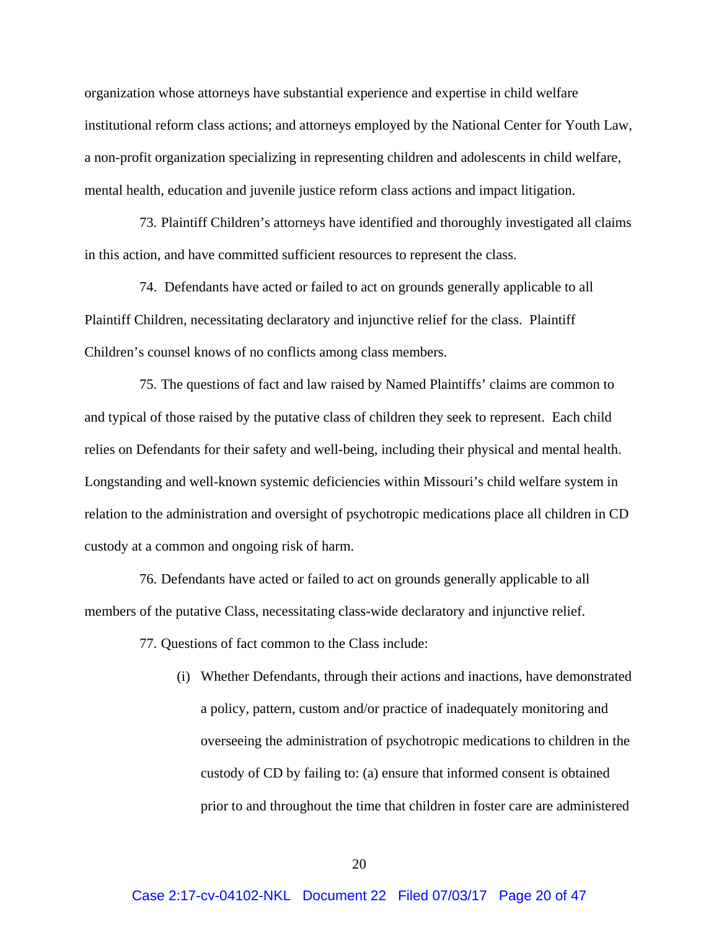organization whose attorneys have substantial experience and expertise in child welfare institutional reform class actions; and attorneys employed by the National Center for Youth Law, a non-profit organization specializing in representing children and adolescents in child welfare, mental health, education and juvenile justice reform class actions and impact litigation.

73. Plaintiff Children's attorneys have identified and thoroughly investigated all claims in this action, and have committed sufficient resources to represent the class.

74. Defendants have acted or failed to act on grounds generally applicable to all Plaintiff Children, necessitating declaratory and injunctive relief for the class. Plaintiff Children's counsel knows of no conflicts among class members.

75. The questions of fact and law raised by Named Plaintiffs' claims are common to and typical of those raised by the putative class of children they seek to represent. Each child relies on Defendants for their safety and well-being, including their physical and mental health. Longstanding and well-known systemic deficiencies within Missouri's child welfare system in relation to the administration and oversight of psychotropic medications place all children in CD custody at a common and ongoing risk of harm.

76. Defendants have acted or failed to act on grounds generally applicable to all members of the putative Class, necessitating class-wide declaratory and injunctive relief.

77. Questions of fact common to the Class include:

(i) Whether Defendants, through their actions and inactions, have demonstrated a policy, pattern, custom and/or practice of inadequately monitoring and overseeing the administration of psychotropic medications to children in the custody of CD by failing to: (a) ensure that informed consent is obtained prior to and throughout the time that children in foster care are administered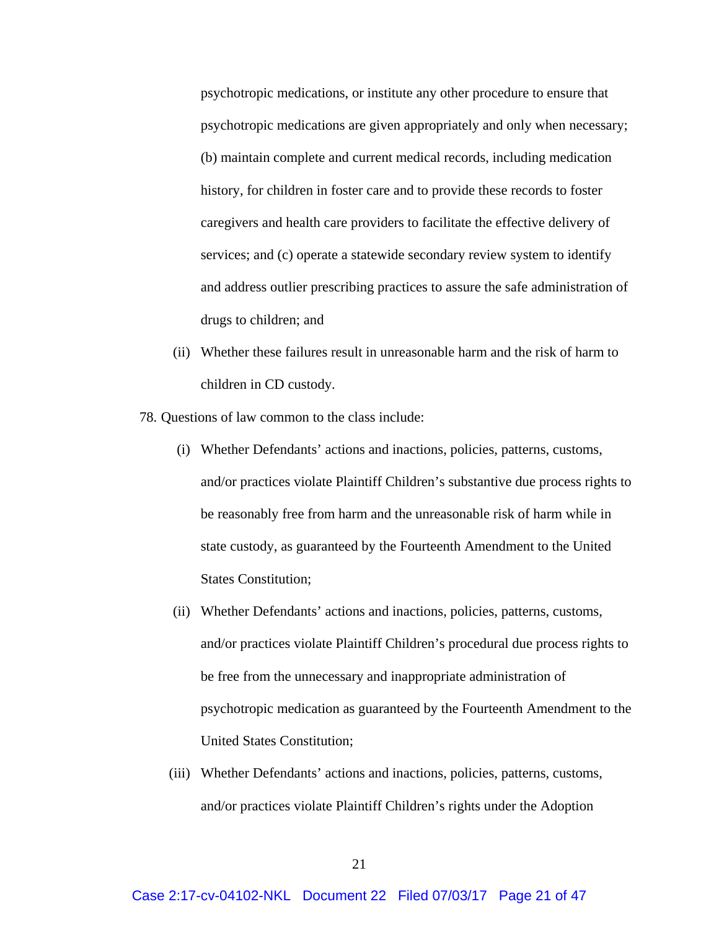psychotropic medications, or institute any other procedure to ensure that psychotropic medications are given appropriately and only when necessary; (b) maintain complete and current medical records, including medication history, for children in foster care and to provide these records to foster caregivers and health care providers to facilitate the effective delivery of services; and (c) operate a statewide secondary review system to identify and address outlier prescribing practices to assure the safe administration of drugs to children; and

- (ii) Whether these failures result in unreasonable harm and the risk of harm to children in CD custody.
- 78. Questions of law common to the class include:
	- (i) Whether Defendants' actions and inactions, policies, patterns, customs, and/or practices violate Plaintiff Children's substantive due process rights to be reasonably free from harm and the unreasonable risk of harm while in state custody, as guaranteed by the Fourteenth Amendment to the United States Constitution;
	- (ii) Whether Defendants' actions and inactions, policies, patterns, customs, and/or practices violate Plaintiff Children's procedural due process rights to be free from the unnecessary and inappropriate administration of psychotropic medication as guaranteed by the Fourteenth Amendment to the United States Constitution;
	- (iii) Whether Defendants' actions and inactions, policies, patterns, customs, and/or practices violate Plaintiff Children's rights under the Adoption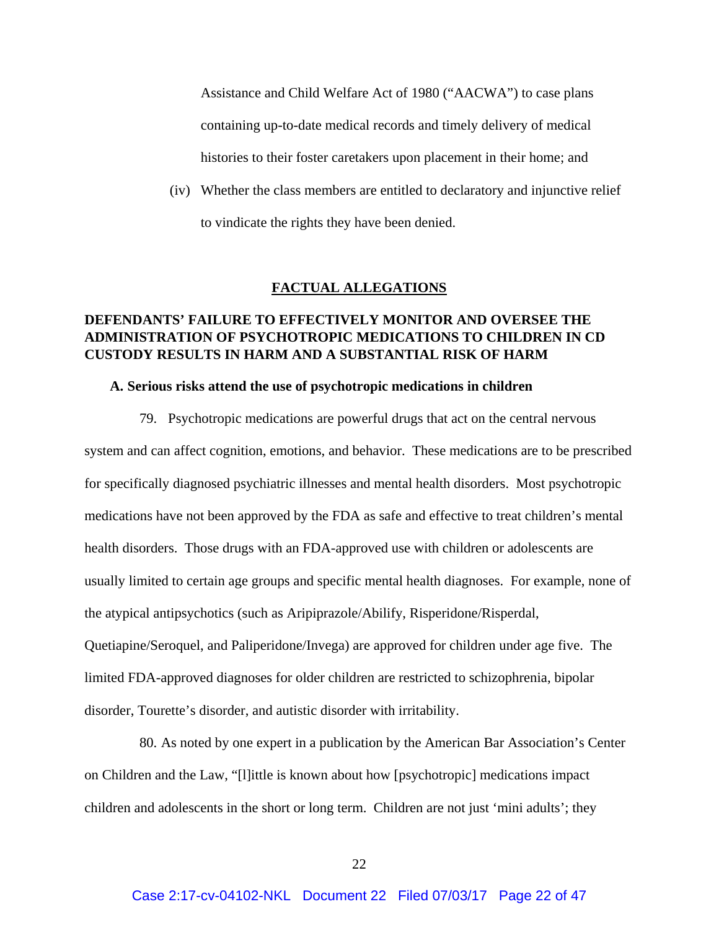Assistance and Child Welfare Act of 1980 ("AACWA") to case plans containing up-to-date medical records and timely delivery of medical histories to their foster caretakers upon placement in their home; and

(iv) Whether the class members are entitled to declaratory and injunctive relief to vindicate the rights they have been denied.

#### **FACTUAL ALLEGATIONS**

# **DEFENDANTS' FAILURE TO EFFECTIVELY MONITOR AND OVERSEE THE ADMINISTRATION OF PSYCHOTROPIC MEDICATIONS TO CHILDREN IN CD CUSTODY RESULTS IN HARM AND A SUBSTANTIAL RISK OF HARM**

### **A. Serious risks attend the use of psychotropic medications in children**

79. Psychotropic medications are powerful drugs that act on the central nervous system and can affect cognition, emotions, and behavior. These medications are to be prescribed for specifically diagnosed psychiatric illnesses and mental health disorders. Most psychotropic medications have not been approved by the FDA as safe and effective to treat children's mental health disorders. Those drugs with an FDA-approved use with children or adolescents are usually limited to certain age groups and specific mental health diagnoses. For example, none of the atypical antipsychotics (such as Aripiprazole/Abilify, Risperidone/Risperdal, Quetiapine/Seroquel, and Paliperidone/Invega) are approved for children under age five. The limited FDA-approved diagnoses for older children are restricted to schizophrenia, bipolar disorder, Tourette's disorder, and autistic disorder with irritability.

80. As noted by one expert in a publication by the American Bar Association's Center on Children and the Law, "[l]ittle is known about how [psychotropic] medications impact children and adolescents in the short or long term. Children are not just 'mini adults'; they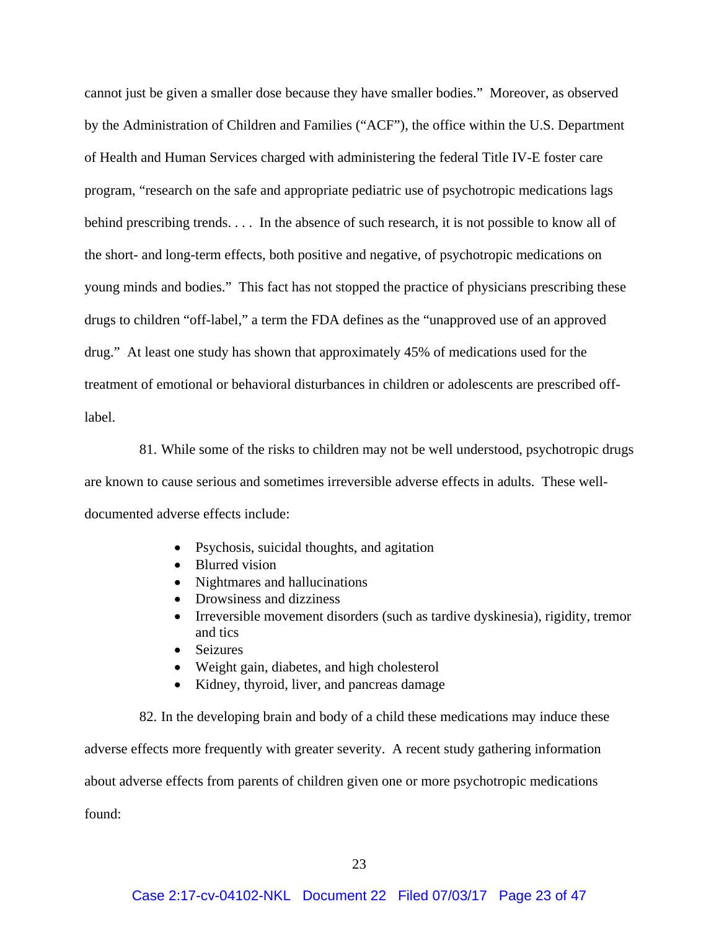cannot just be given a smaller dose because they have smaller bodies." Moreover, as observed by the Administration of Children and Families ("ACF"), the office within the U.S. Department of Health and Human Services charged with administering the federal Title IV-E foster care program, "research on the safe and appropriate pediatric use of psychotropic medications lags behind prescribing trends. . . . In the absence of such research, it is not possible to know all of the short- and long-term effects, both positive and negative, of psychotropic medications on young minds and bodies." This fact has not stopped the practice of physicians prescribing these drugs to children "off-label," a term the FDA defines as the "unapproved use of an approved drug." At least one study has shown that approximately 45% of medications used for the treatment of emotional or behavioral disturbances in children or adolescents are prescribed offlabel.

81. While some of the risks to children may not be well understood, psychotropic drugs are known to cause serious and sometimes irreversible adverse effects in adults. These welldocumented adverse effects include:

- Psychosis, suicidal thoughts, and agitation
- Blurred vision
- Nightmares and hallucinations
- Drowsiness and dizziness
- Irreversible movement disorders (such as tardive dyskinesia), rigidity, tremor and tics
- Seizures
- Weight gain, diabetes, and high cholesterol
- Kidney, thyroid, liver, and pancreas damage

82. In the developing brain and body of a child these medications may induce these adverse effects more frequently with greater severity. A recent study gathering information about adverse effects from parents of children given one or more psychotropic medications found: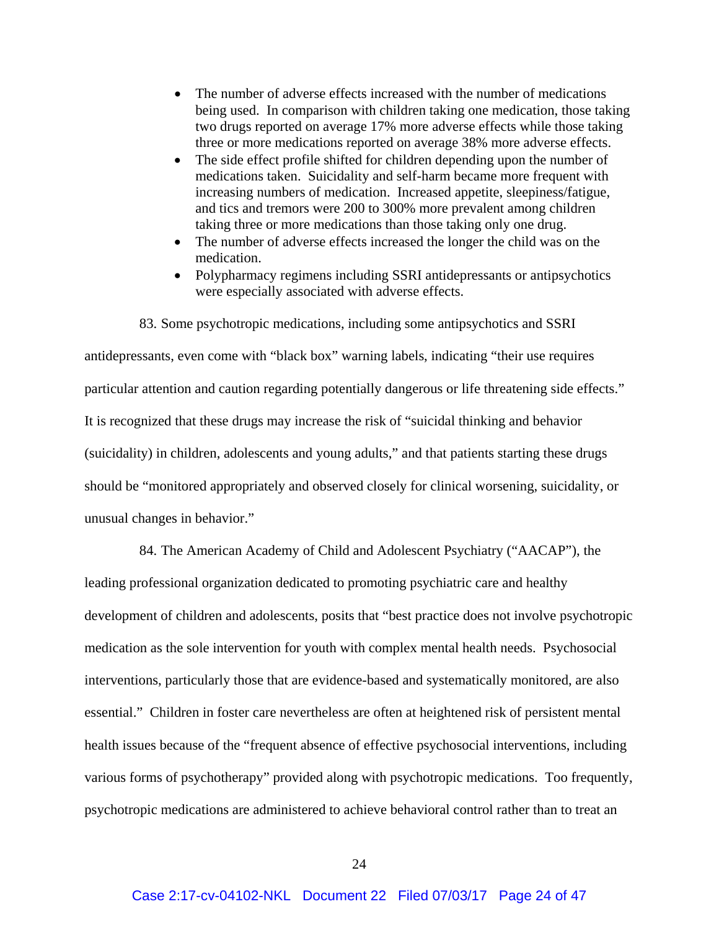- The number of adverse effects increased with the number of medications being used. In comparison with children taking one medication, those taking two drugs reported on average 17% more adverse effects while those taking three or more medications reported on average 38% more adverse effects.
- The side effect profile shifted for children depending upon the number of medications taken. Suicidality and self-harm became more frequent with increasing numbers of medication. Increased appetite, sleepiness/fatigue, and tics and tremors were 200 to 300% more prevalent among children taking three or more medications than those taking only one drug.
- The number of adverse effects increased the longer the child was on the medication.
- Polypharmacy regimens including SSRI antidepressants or antipsychotics were especially associated with adverse effects.

83. Some psychotropic medications, including some antipsychotics and SSRI antidepressants, even come with "black box" warning labels, indicating "their use requires particular attention and caution regarding potentially dangerous or life threatening side effects." It is recognized that these drugs may increase the risk of "suicidal thinking and behavior (suicidality) in children, adolescents and young adults," and that patients starting these drugs should be "monitored appropriately and observed closely for clinical worsening, suicidality, or unusual changes in behavior."

84. The American Academy of Child and Adolescent Psychiatry ("AACAP"), the leading professional organization dedicated to promoting psychiatric care and healthy development of children and adolescents, posits that "best practice does not involve psychotropic medication as the sole intervention for youth with complex mental health needs. Psychosocial interventions, particularly those that are evidence-based and systematically monitored, are also essential." Children in foster care nevertheless are often at heightened risk of persistent mental health issues because of the "frequent absence of effective psychosocial interventions, including various forms of psychotherapy" provided along with psychotropic medications. Too frequently, psychotropic medications are administered to achieve behavioral control rather than to treat an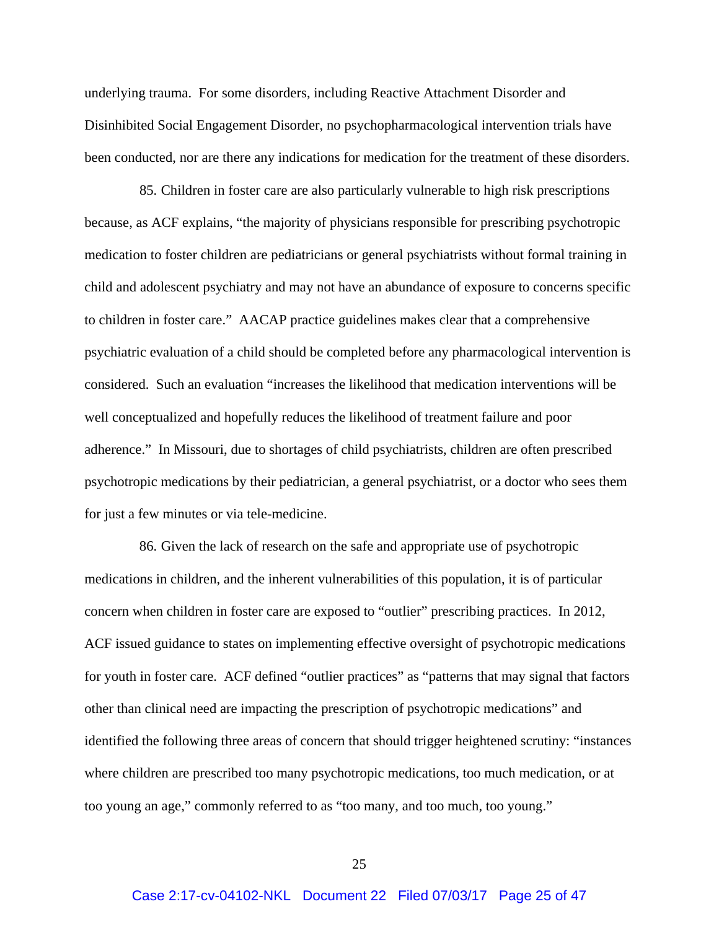underlying trauma. For some disorders, including Reactive Attachment Disorder and Disinhibited Social Engagement Disorder, no psychopharmacological intervention trials have been conducted, nor are there any indications for medication for the treatment of these disorders.

85. Children in foster care are also particularly vulnerable to high risk prescriptions because, as ACF explains, "the majority of physicians responsible for prescribing psychotropic medication to foster children are pediatricians or general psychiatrists without formal training in child and adolescent psychiatry and may not have an abundance of exposure to concerns specific to children in foster care." AACAP practice guidelines makes clear that a comprehensive psychiatric evaluation of a child should be completed before any pharmacological intervention is considered. Such an evaluation "increases the likelihood that medication interventions will be well conceptualized and hopefully reduces the likelihood of treatment failure and poor adherence." In Missouri, due to shortages of child psychiatrists, children are often prescribed psychotropic medications by their pediatrician, a general psychiatrist, or a doctor who sees them for just a few minutes or via tele-medicine.

86. Given the lack of research on the safe and appropriate use of psychotropic medications in children, and the inherent vulnerabilities of this population, it is of particular concern when children in foster care are exposed to "outlier" prescribing practices. In 2012, ACF issued guidance to states on implementing effective oversight of psychotropic medications for youth in foster care. ACF defined "outlier practices" as "patterns that may signal that factors other than clinical need are impacting the prescription of psychotropic medications" and identified the following three areas of concern that should trigger heightened scrutiny: "instances where children are prescribed too many psychotropic medications, too much medication, or at too young an age," commonly referred to as "too many, and too much, too young."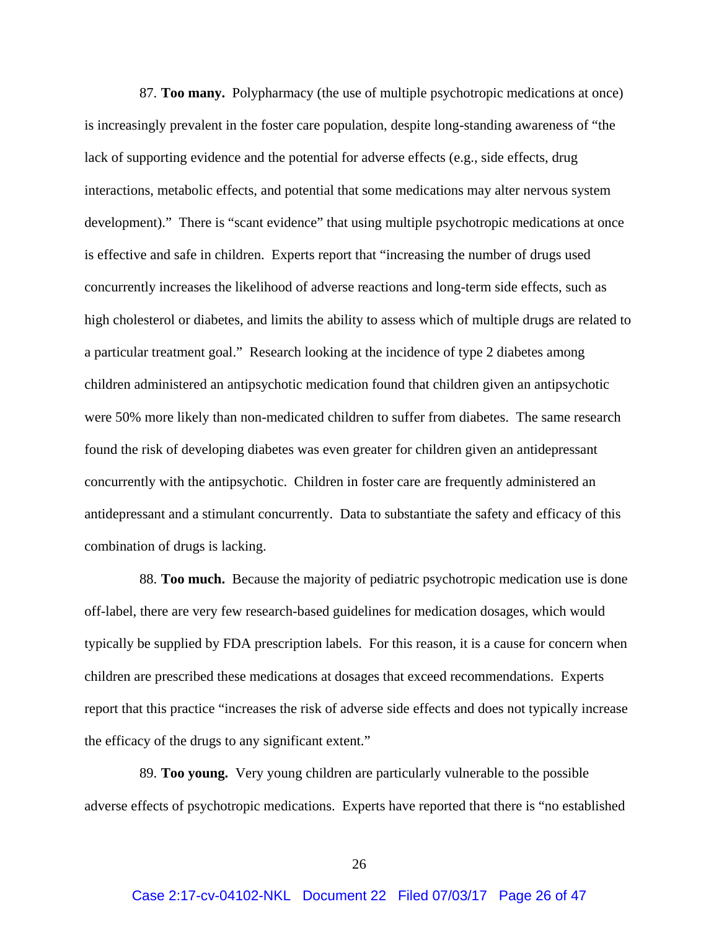87. **Too many.** Polypharmacy (the use of multiple psychotropic medications at once) is increasingly prevalent in the foster care population, despite long-standing awareness of "the lack of supporting evidence and the potential for adverse effects (e.g., side effects, drug interactions, metabolic effects, and potential that some medications may alter nervous system development)." There is "scant evidence" that using multiple psychotropic medications at once is effective and safe in children. Experts report that "increasing the number of drugs used concurrently increases the likelihood of adverse reactions and long-term side effects, such as high cholesterol or diabetes, and limits the ability to assess which of multiple drugs are related to a particular treatment goal." Research looking at the incidence of type 2 diabetes among children administered an antipsychotic medication found that children given an antipsychotic were 50% more likely than non-medicated children to suffer from diabetes. The same research found the risk of developing diabetes was even greater for children given an antidepressant concurrently with the antipsychotic. Children in foster care are frequently administered an antidepressant and a stimulant concurrently. Data to substantiate the safety and efficacy of this combination of drugs is lacking.

88. **Too much.** Because the majority of pediatric psychotropic medication use is done off-label, there are very few research-based guidelines for medication dosages, which would typically be supplied by FDA prescription labels. For this reason, it is a cause for concern when children are prescribed these medications at dosages that exceed recommendations. Experts report that this practice "increases the risk of adverse side effects and does not typically increase the efficacy of the drugs to any significant extent."

89. **Too young.** Very young children are particularly vulnerable to the possible adverse effects of psychotropic medications. Experts have reported that there is "no established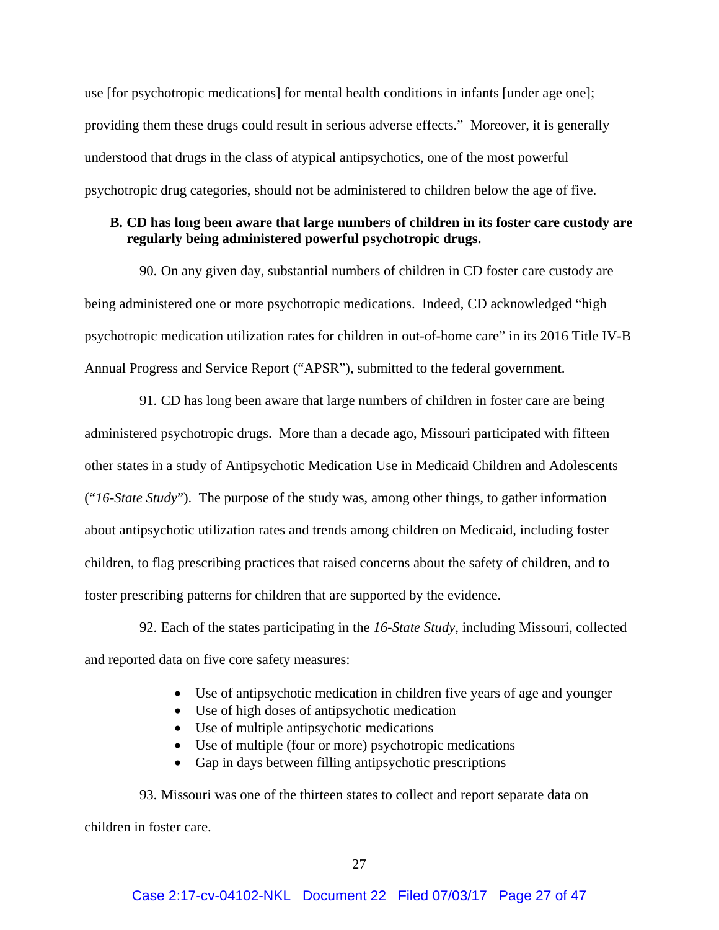use [for psychotropic medications] for mental health conditions in infants [under age one]; providing them these drugs could result in serious adverse effects." Moreover, it is generally understood that drugs in the class of atypical antipsychotics, one of the most powerful psychotropic drug categories, should not be administered to children below the age of five.

## **B. CD has long been aware that large numbers of children in its foster care custody are regularly being administered powerful psychotropic drugs.**

90. On any given day, substantial numbers of children in CD foster care custody are being administered one or more psychotropic medications. Indeed, CD acknowledged "high psychotropic medication utilization rates for children in out-of-home care" in its 2016 Title IV-B Annual Progress and Service Report ("APSR"), submitted to the federal government.

91. CD has long been aware that large numbers of children in foster care are being administered psychotropic drugs. More than a decade ago, Missouri participated with fifteen other states in a study of Antipsychotic Medication Use in Medicaid Children and Adolescents ("*16-State Study*"). The purpose of the study was, among other things, to gather information about antipsychotic utilization rates and trends among children on Medicaid, including foster children, to flag prescribing practices that raised concerns about the safety of children, and to foster prescribing patterns for children that are supported by the evidence.

92. Each of the states participating in the *16-State Study*, including Missouri, collected and reported data on five core safety measures:

- Use of antipsychotic medication in children five years of age and younger
- Use of high doses of antipsychotic medication
- Use of multiple antipsychotic medications
- Use of multiple (four or more) psychotropic medications
- Gap in days between filling antipsychotic prescriptions

93. Missouri was one of the thirteen states to collect and report separate data on children in foster care.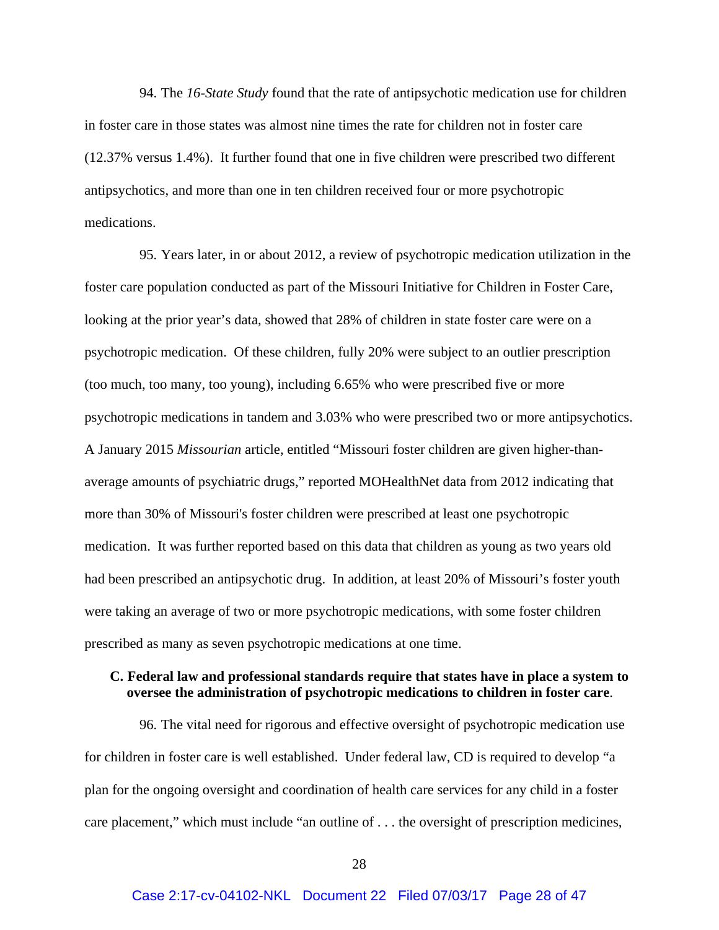94. The *16-State Study* found that the rate of antipsychotic medication use for children in foster care in those states was almost nine times the rate for children not in foster care (12.37% versus 1.4%). It further found that one in five children were prescribed two different antipsychotics, and more than one in ten children received four or more psychotropic medications.

95. Years later, in or about 2012, a review of psychotropic medication utilization in the foster care population conducted as part of the Missouri Initiative for Children in Foster Care, looking at the prior year's data, showed that 28% of children in state foster care were on a psychotropic medication. Of these children, fully 20% were subject to an outlier prescription (too much, too many, too young), including 6.65% who were prescribed five or more psychotropic medications in tandem and 3.03% who were prescribed two or more antipsychotics. A January 2015 *Missourian* article, entitled "Missouri foster children are given higher-thanaverage amounts of psychiatric drugs," reported MOHealthNet data from 2012 indicating that more than 30% of Missouri's foster children were prescribed at least one psychotropic medication. It was further reported based on this data that children as young as two years old had been prescribed an antipsychotic drug. In addition, at least 20% of Missouri's foster youth were taking an average of two or more psychotropic medications, with some foster children prescribed as many as seven psychotropic medications at one time.

## **C. Federal law and professional standards require that states have in place a system to oversee the administration of psychotropic medications to children in foster care**.

96. The vital need for rigorous and effective oversight of psychotropic medication use for children in foster care is well established. Under federal law, CD is required to develop "a plan for the ongoing oversight and coordination of health care services for any child in a foster care placement," which must include "an outline of . . . the oversight of prescription medicines,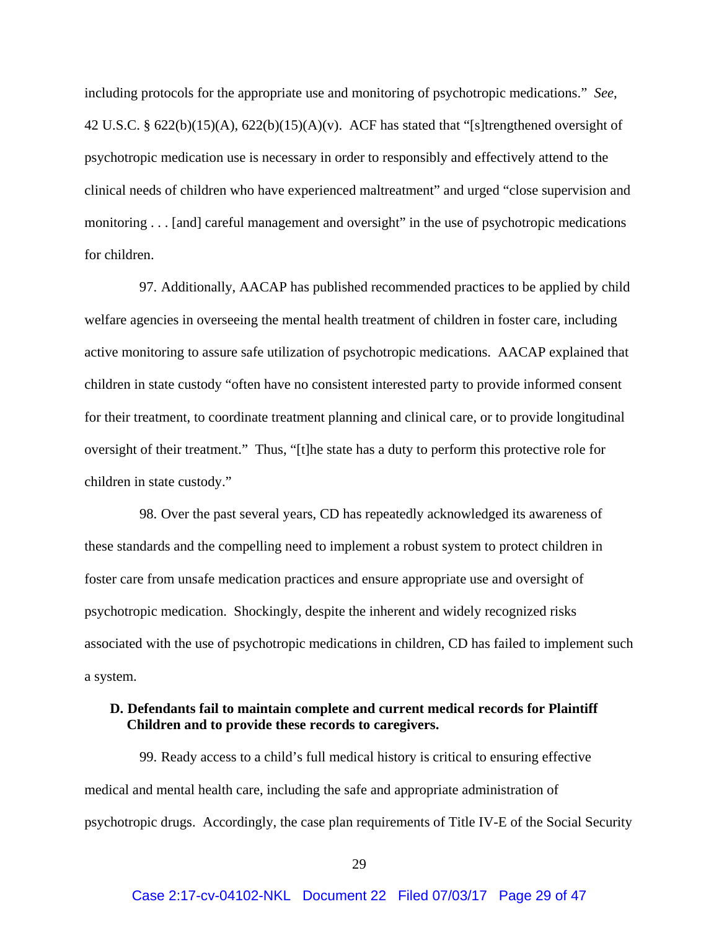including protocols for the appropriate use and monitoring of psychotropic medications." *See*, 42 U.S.C. §  $622(b)(15)(A)$ ,  $622(b)(15)(A)(v)$ . ACF has stated that "[s]trengthened oversight of psychotropic medication use is necessary in order to responsibly and effectively attend to the clinical needs of children who have experienced maltreatment" and urged "close supervision and monitoring . . . [and] careful management and oversight" in the use of psychotropic medications for children.

97. Additionally, AACAP has published recommended practices to be applied by child welfare agencies in overseeing the mental health treatment of children in foster care, including active monitoring to assure safe utilization of psychotropic medications. AACAP explained that children in state custody "often have no consistent interested party to provide informed consent for their treatment, to coordinate treatment planning and clinical care, or to provide longitudinal oversight of their treatment." Thus, "[t]he state has a duty to perform this protective role for children in state custody."

98. Over the past several years, CD has repeatedly acknowledged its awareness of these standards and the compelling need to implement a robust system to protect children in foster care from unsafe medication practices and ensure appropriate use and oversight of psychotropic medication. Shockingly, despite the inherent and widely recognized risks associated with the use of psychotropic medications in children, CD has failed to implement such a system.

## **D. Defendants fail to maintain complete and current medical records for Plaintiff Children and to provide these records to caregivers.**

99. Ready access to a child's full medical history is critical to ensuring effective medical and mental health care, including the safe and appropriate administration of psychotropic drugs. Accordingly, the case plan requirements of Title IV-E of the Social Security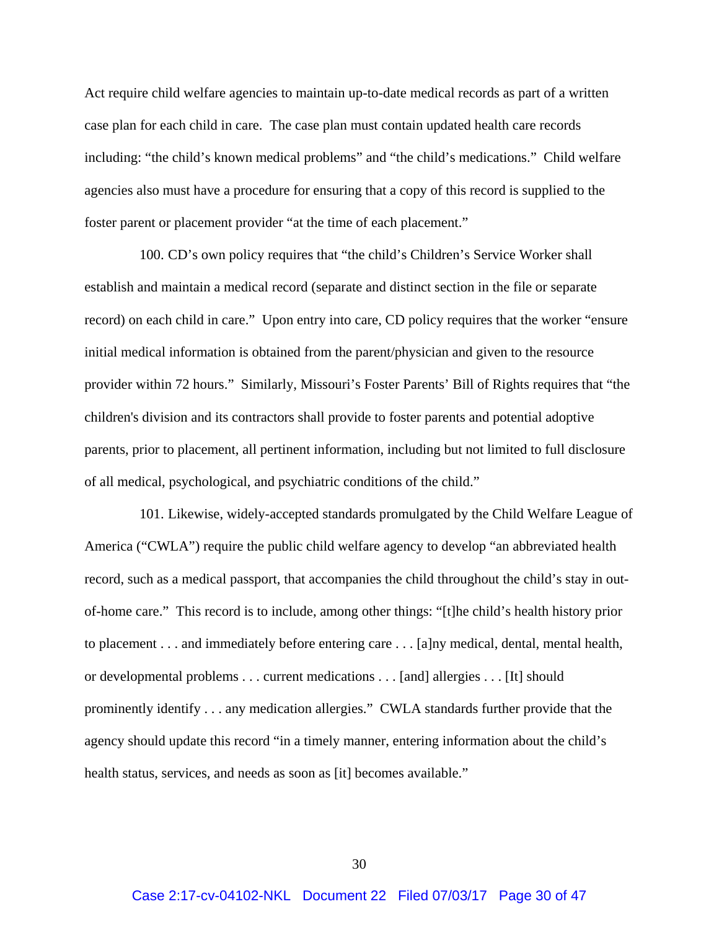Act require child welfare agencies to maintain up-to-date medical records as part of a written case plan for each child in care. The case plan must contain updated health care records including: "the child's known medical problems" and "the child's medications." Child welfare agencies also must have a procedure for ensuring that a copy of this record is supplied to the foster parent or placement provider "at the time of each placement."

100. CD's own policy requires that "the child's Children's Service Worker shall establish and maintain a medical record (separate and distinct section in the file or separate record) on each child in care." Upon entry into care, CD policy requires that the worker "ensure initial medical information is obtained from the parent/physician and given to the resource provider within 72 hours." Similarly, Missouri's Foster Parents' Bill of Rights requires that "the children's division and its contractors shall provide to foster parents and potential adoptive parents, prior to placement, all pertinent information, including but not limited to full disclosure of all medical, psychological, and psychiatric conditions of the child."

101. Likewise, widely-accepted standards promulgated by the Child Welfare League of America ("CWLA") require the public child welfare agency to develop "an abbreviated health record, such as a medical passport, that accompanies the child throughout the child's stay in outof-home care." This record is to include, among other things: "[t]he child's health history prior to placement . . . and immediately before entering care . . . [a]ny medical, dental, mental health, or developmental problems . . . current medications . . . [and] allergies . . . [It] should prominently identify . . . any medication allergies." CWLA standards further provide that the agency should update this record "in a timely manner, entering information about the child's health status, services, and needs as soon as [it] becomes available."

30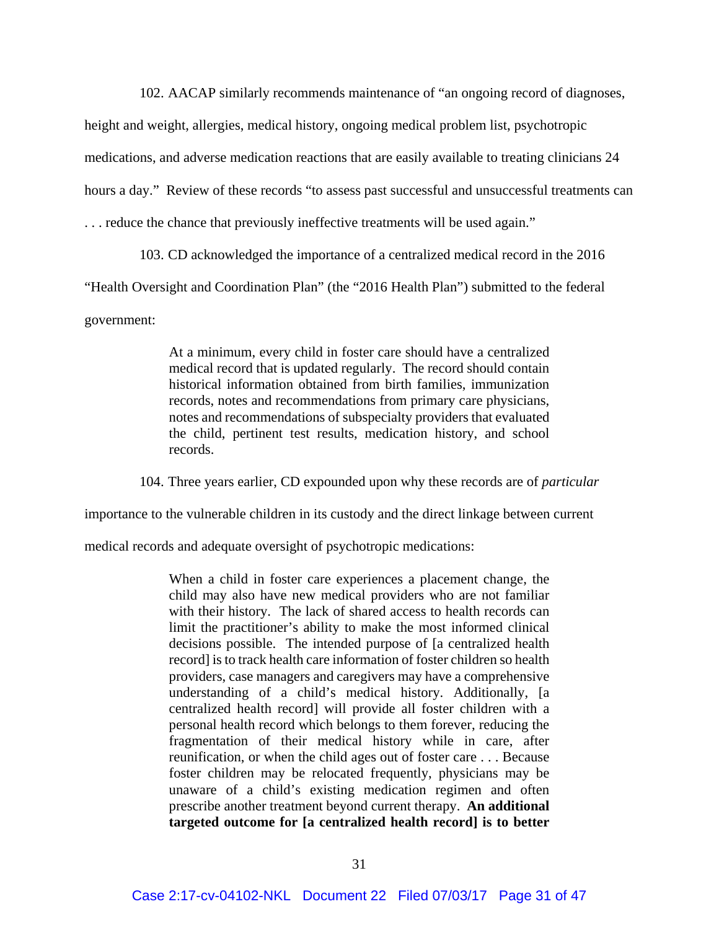102. AACAP similarly recommends maintenance of "an ongoing record of diagnoses,

height and weight, allergies, medical history, ongoing medical problem list, psychotropic

medications, and adverse medication reactions that are easily available to treating clinicians 24

hours a day." Review of these records "to assess past successful and unsuccessful treatments can

. . . reduce the chance that previously ineffective treatments will be used again."

103. CD acknowledged the importance of a centralized medical record in the 2016

"Health Oversight and Coordination Plan" (the "2016 Health Plan") submitted to the federal

government:

At a minimum, every child in foster care should have a centralized medical record that is updated regularly. The record should contain historical information obtained from birth families, immunization records, notes and recommendations from primary care physicians, notes and recommendations of subspecialty providers that evaluated the child, pertinent test results, medication history, and school records.

104. Three years earlier, CD expounded upon why these records are of *particular*

importance to the vulnerable children in its custody and the direct linkage between current

medical records and adequate oversight of psychotropic medications:

When a child in foster care experiences a placement change, the child may also have new medical providers who are not familiar with their history. The lack of shared access to health records can limit the practitioner's ability to make the most informed clinical decisions possible. The intended purpose of [a centralized health record] is to track health care information of foster children so health providers, case managers and caregivers may have a comprehensive understanding of a child's medical history. Additionally, [a centralized health record] will provide all foster children with a personal health record which belongs to them forever, reducing the fragmentation of their medical history while in care, after reunification, or when the child ages out of foster care . . . Because foster children may be relocated frequently, physicians may be unaware of a child's existing medication regimen and often prescribe another treatment beyond current therapy. **An additional targeted outcome for [a centralized health record] is to better**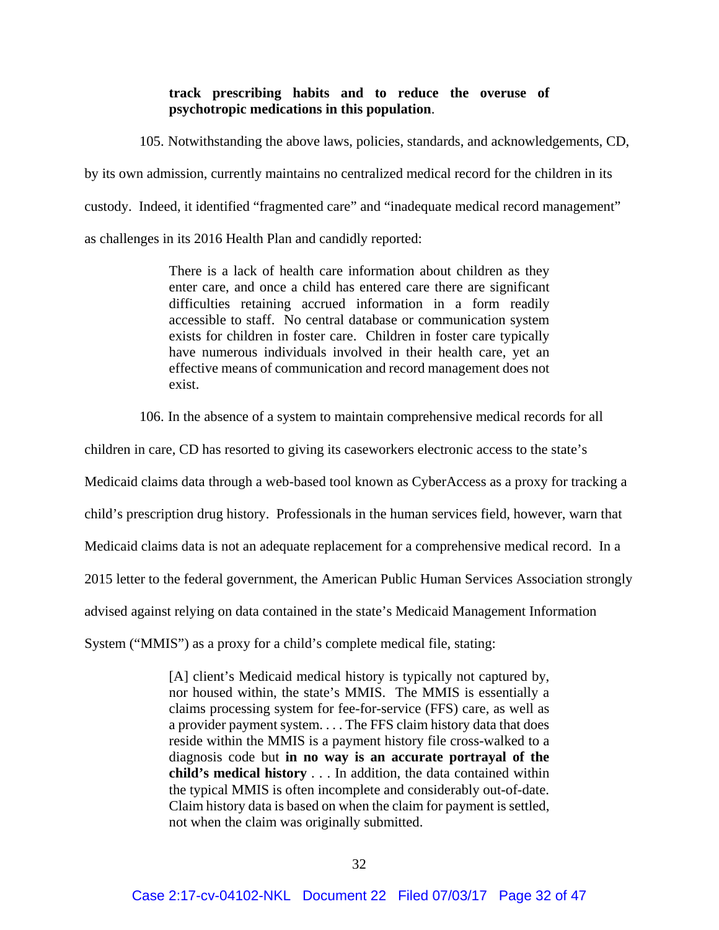## **track prescribing habits and to reduce the overuse of psychotropic medications in this population**.

105. Notwithstanding the above laws, policies, standards, and acknowledgements, CD, by its own admission, currently maintains no centralized medical record for the children in its custody. Indeed, it identified "fragmented care" and "inadequate medical record management" as challenges in its 2016 Health Plan and candidly reported:

> There is a lack of health care information about children as they enter care, and once a child has entered care there are significant difficulties retaining accrued information in a form readily accessible to staff. No central database or communication system exists for children in foster care. Children in foster care typically have numerous individuals involved in their health care, yet an effective means of communication and record management does not exist.

106. In the absence of a system to maintain comprehensive medical records for all

children in care, CD has resorted to giving its caseworkers electronic access to the state's

Medicaid claims data through a web-based tool known as CyberAccess as a proxy for tracking a

child's prescription drug history. Professionals in the human services field, however, warn that

Medicaid claims data is not an adequate replacement for a comprehensive medical record. In a

2015 letter to the federal government, the American Public Human Services Association strongly

advised against relying on data contained in the state's Medicaid Management Information

System ("MMIS") as a proxy for a child's complete medical file, stating:

[A] client's Medicaid medical history is typically not captured by, nor housed within, the state's MMIS. The MMIS is essentially a claims processing system for fee-for-service (FFS) care, as well as a provider payment system. . . . The FFS claim history data that does reside within the MMIS is a payment history file cross-walked to a diagnosis code but **in no way is an accurate portrayal of the child's medical history** . . . In addition, the data contained within the typical MMIS is often incomplete and considerably out-of-date. Claim history data is based on when the claim for payment is settled, not when the claim was originally submitted.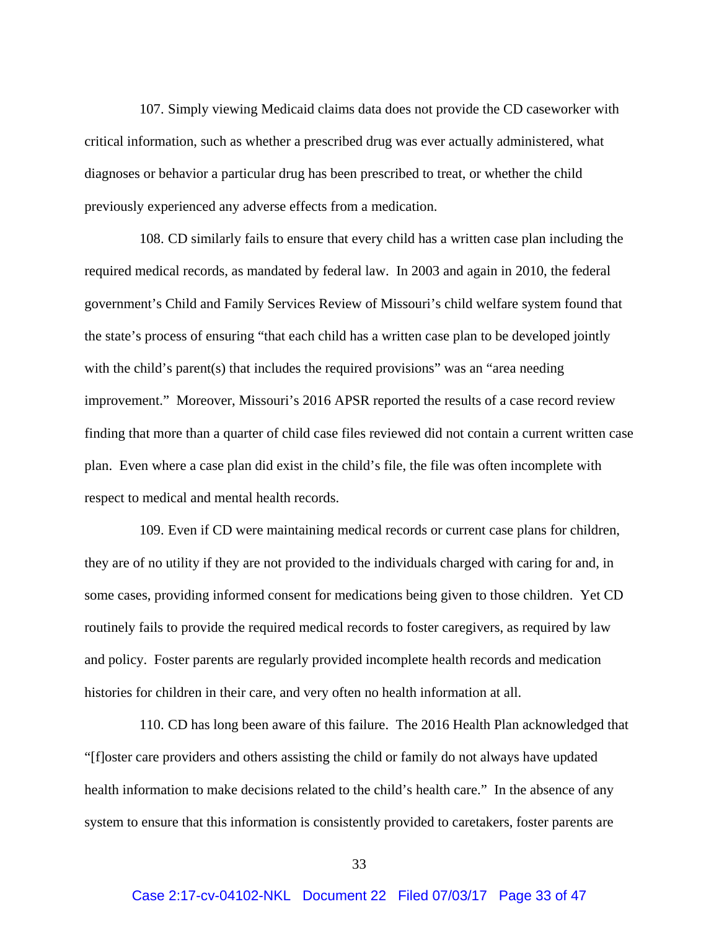107. Simply viewing Medicaid claims data does not provide the CD caseworker with critical information, such as whether a prescribed drug was ever actually administered, what diagnoses or behavior a particular drug has been prescribed to treat, or whether the child previously experienced any adverse effects from a medication.

108. CD similarly fails to ensure that every child has a written case plan including the required medical records, as mandated by federal law. In 2003 and again in 2010, the federal government's Child and Family Services Review of Missouri's child welfare system found that the state's process of ensuring "that each child has a written case plan to be developed jointly with the child's parent(s) that includes the required provisions" was an "area needing improvement." Moreover, Missouri's 2016 APSR reported the results of a case record review finding that more than a quarter of child case files reviewed did not contain a current written case plan. Even where a case plan did exist in the child's file, the file was often incomplete with respect to medical and mental health records.

109. Even if CD were maintaining medical records or current case plans for children, they are of no utility if they are not provided to the individuals charged with caring for and, in some cases, providing informed consent for medications being given to those children. Yet CD routinely fails to provide the required medical records to foster caregivers, as required by law and policy. Foster parents are regularly provided incomplete health records and medication histories for children in their care, and very often no health information at all.

110. CD has long been aware of this failure. The 2016 Health Plan acknowledged that "[f]oster care providers and others assisting the child or family do not always have updated health information to make decisions related to the child's health care." In the absence of any system to ensure that this information is consistently provided to caretakers, foster parents are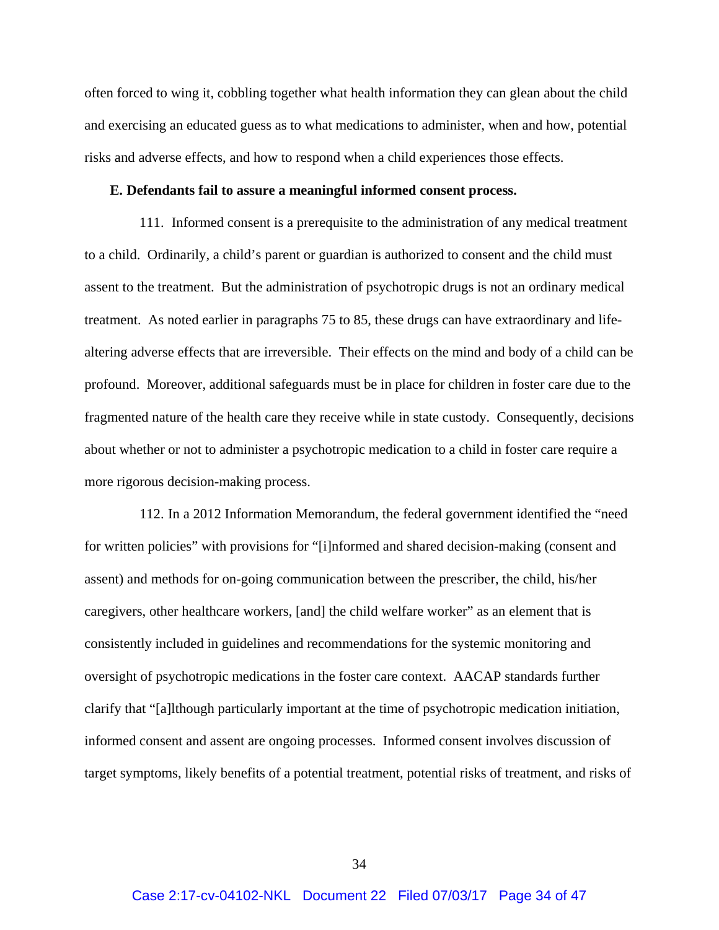often forced to wing it, cobbling together what health information they can glean about the child and exercising an educated guess as to what medications to administer, when and how, potential risks and adverse effects, and how to respond when a child experiences those effects.

### **E. Defendants fail to assure a meaningful informed consent process.**

111. Informed consent is a prerequisite to the administration of any medical treatment to a child. Ordinarily, a child's parent or guardian is authorized to consent and the child must assent to the treatment. But the administration of psychotropic drugs is not an ordinary medical treatment. As noted earlier in paragraphs 75 to 85, these drugs can have extraordinary and lifealtering adverse effects that are irreversible. Their effects on the mind and body of a child can be profound. Moreover, additional safeguards must be in place for children in foster care due to the fragmented nature of the health care they receive while in state custody. Consequently, decisions about whether or not to administer a psychotropic medication to a child in foster care require a more rigorous decision-making process.

112. In a 2012 Information Memorandum, the federal government identified the "need for written policies" with provisions for "[i]nformed and shared decision-making (consent and assent) and methods for on-going communication between the prescriber, the child, his/her caregivers, other healthcare workers, [and] the child welfare worker" as an element that is consistently included in guidelines and recommendations for the systemic monitoring and oversight of psychotropic medications in the foster care context. AACAP standards further clarify that "[a]lthough particularly important at the time of psychotropic medication initiation, informed consent and assent are ongoing processes. Informed consent involves discussion of target symptoms, likely benefits of a potential treatment, potential risks of treatment, and risks of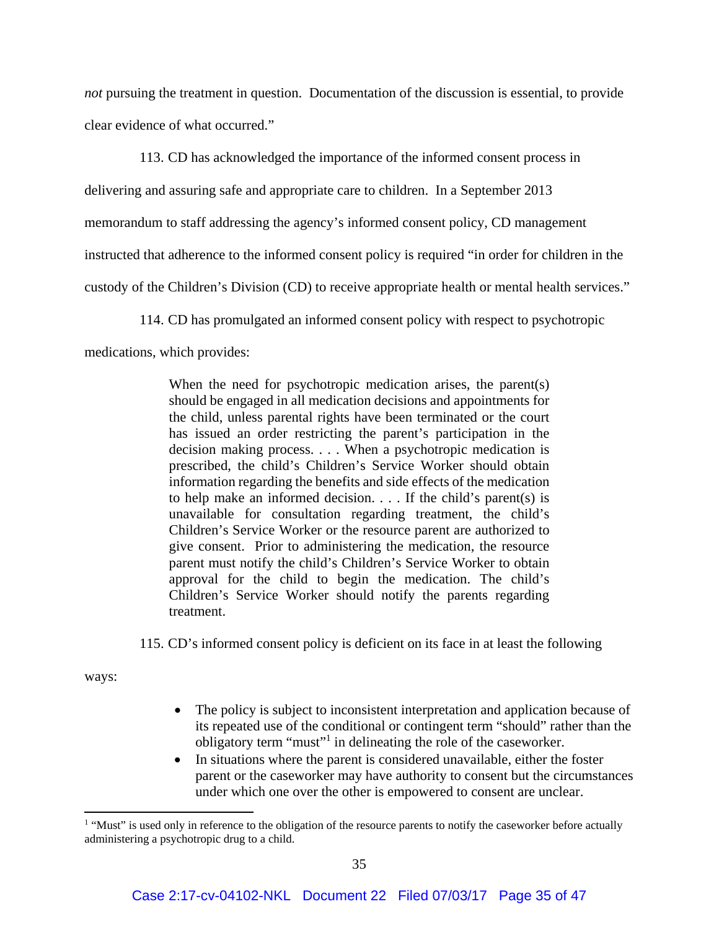*not* pursuing the treatment in question. Documentation of the discussion is essential, to provide clear evidence of what occurred."

113. CD has acknowledged the importance of the informed consent process in

delivering and assuring safe and appropriate care to children. In a September 2013

memorandum to staff addressing the agency's informed consent policy, CD management

instructed that adherence to the informed consent policy is required "in order for children in the

custody of the Children's Division (CD) to receive appropriate health or mental health services."

114. CD has promulgated an informed consent policy with respect to psychotropic

medications, which provides:

When the need for psychotropic medication arises, the parent(s) should be engaged in all medication decisions and appointments for the child, unless parental rights have been terminated or the court has issued an order restricting the parent's participation in the decision making process. . . . When a psychotropic medication is prescribed, the child's Children's Service Worker should obtain information regarding the benefits and side effects of the medication to help make an informed decision. . . . If the child's parent(s) is unavailable for consultation regarding treatment, the child's Children's Service Worker or the resource parent are authorized to give consent. Prior to administering the medication, the resource parent must notify the child's Children's Service Worker to obtain approval for the child to begin the medication. The child's Children's Service Worker should notify the parents regarding treatment.

115. CD's informed consent policy is deficient on its face in at least the following

ways:

- The policy is subject to inconsistent interpretation and application because of its repeated use of the conditional or contingent term "should" rather than the obligatory term "must"<sup>1</sup> in delineating the role of the caseworker.
- In situations where the parent is considered unavailable, either the foster parent or the caseworker may have authority to consent but the circumstances under which one over the other is empowered to consent are unclear.

<sup>&</sup>lt;sup>1</sup> "Must" is used only in reference to the obligation of the resource parents to notify the caseworker before actually administering a psychotropic drug to a child.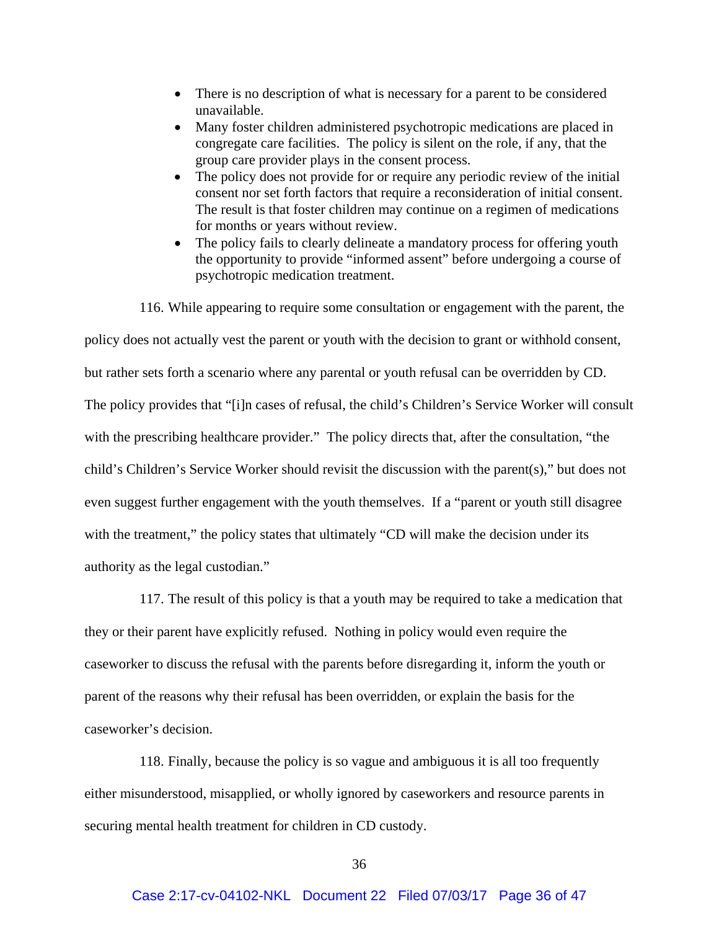- There is no description of what is necessary for a parent to be considered unavailable.
- Many foster children administered psychotropic medications are placed in congregate care facilities. The policy is silent on the role, if any, that the group care provider plays in the consent process.
- The policy does not provide for or require any periodic review of the initial consent nor set forth factors that require a reconsideration of initial consent. The result is that foster children may continue on a regimen of medications for months or years without review.
- The policy fails to clearly delineate a mandatory process for offering youth the opportunity to provide "informed assent" before undergoing a course of psychotropic medication treatment.

116. While appearing to require some consultation or engagement with the parent, the policy does not actually vest the parent or youth with the decision to grant or withhold consent, but rather sets forth a scenario where any parental or youth refusal can be overridden by CD. The policy provides that "[i]n cases of refusal, the child's Children's Service Worker will consult with the prescribing healthcare provider." The policy directs that, after the consultation, "the child's Children's Service Worker should revisit the discussion with the parent(s)," but does not even suggest further engagement with the youth themselves. If a "parent or youth still disagree with the treatment," the policy states that ultimately "CD will make the decision under its authority as the legal custodian."

117. The result of this policy is that a youth may be required to take a medication that they or their parent have explicitly refused. Nothing in policy would even require the caseworker to discuss the refusal with the parents before disregarding it, inform the youth or parent of the reasons why their refusal has been overridden, or explain the basis for the caseworker's decision.

118. Finally, because the policy is so vague and ambiguous it is all too frequently either misunderstood, misapplied, or wholly ignored by caseworkers and resource parents in securing mental health treatment for children in CD custody.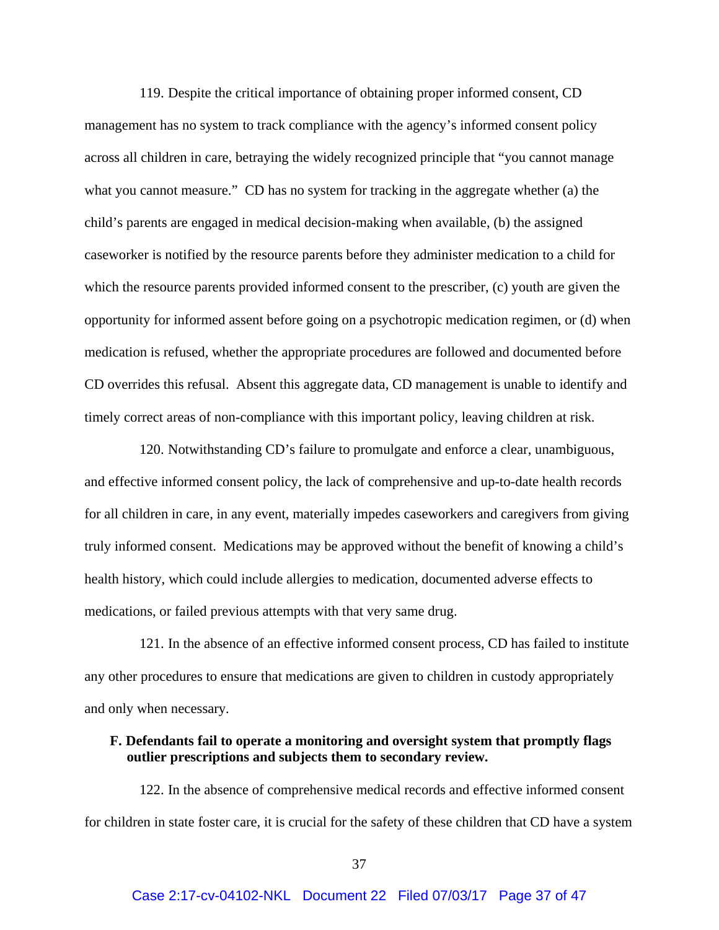119. Despite the critical importance of obtaining proper informed consent, CD management has no system to track compliance with the agency's informed consent policy across all children in care, betraying the widely recognized principle that "you cannot manage what you cannot measure." CD has no system for tracking in the aggregate whether (a) the child's parents are engaged in medical decision-making when available, (b) the assigned caseworker is notified by the resource parents before they administer medication to a child for which the resource parents provided informed consent to the prescriber, (c) youth are given the opportunity for informed assent before going on a psychotropic medication regimen, or (d) when medication is refused, whether the appropriate procedures are followed and documented before CD overrides this refusal. Absent this aggregate data, CD management is unable to identify and timely correct areas of non-compliance with this important policy, leaving children at risk.

120. Notwithstanding CD's failure to promulgate and enforce a clear, unambiguous, and effective informed consent policy, the lack of comprehensive and up-to-date health records for all children in care, in any event, materially impedes caseworkers and caregivers from giving truly informed consent. Medications may be approved without the benefit of knowing a child's health history, which could include allergies to medication, documented adverse effects to medications, or failed previous attempts with that very same drug.

121. In the absence of an effective informed consent process, CD has failed to institute any other procedures to ensure that medications are given to children in custody appropriately and only when necessary.

## **F. Defendants fail to operate a monitoring and oversight system that promptly flags outlier prescriptions and subjects them to secondary review.**

122. In the absence of comprehensive medical records and effective informed consent for children in state foster care, it is crucial for the safety of these children that CD have a system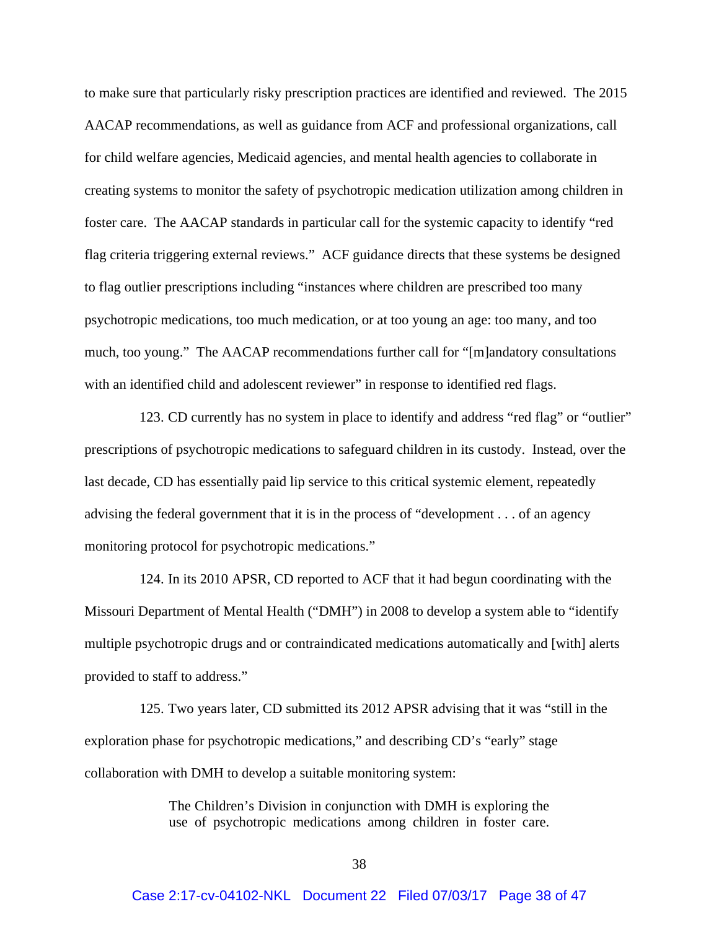to make sure that particularly risky prescription practices are identified and reviewed. The 2015 AACAP recommendations, as well as guidance from ACF and professional organizations, call for child welfare agencies, Medicaid agencies, and mental health agencies to collaborate in creating systems to monitor the safety of psychotropic medication utilization among children in foster care. The AACAP standards in particular call for the systemic capacity to identify "red flag criteria triggering external reviews." ACF guidance directs that these systems be designed to flag outlier prescriptions including "instances where children are prescribed too many psychotropic medications, too much medication, or at too young an age: too many, and too much, too young." The AACAP recommendations further call for "[m]andatory consultations with an identified child and adolescent reviewer" in response to identified red flags.

123. CD currently has no system in place to identify and address "red flag" or "outlier" prescriptions of psychotropic medications to safeguard children in its custody. Instead, over the last decade, CD has essentially paid lip service to this critical systemic element, repeatedly advising the federal government that it is in the process of "development . . . of an agency monitoring protocol for psychotropic medications."

124. In its 2010 APSR, CD reported to ACF that it had begun coordinating with the Missouri Department of Mental Health ("DMH") in 2008 to develop a system able to "identify multiple psychotropic drugs and or contraindicated medications automatically and [with] alerts provided to staff to address."

125. Two years later, CD submitted its 2012 APSR advising that it was "still in the exploration phase for psychotropic medications," and describing CD's "early" stage collaboration with DMH to develop a suitable monitoring system:

> The Children's Division in conjunction with DMH is exploring the use of psychotropic medications among children in foster care.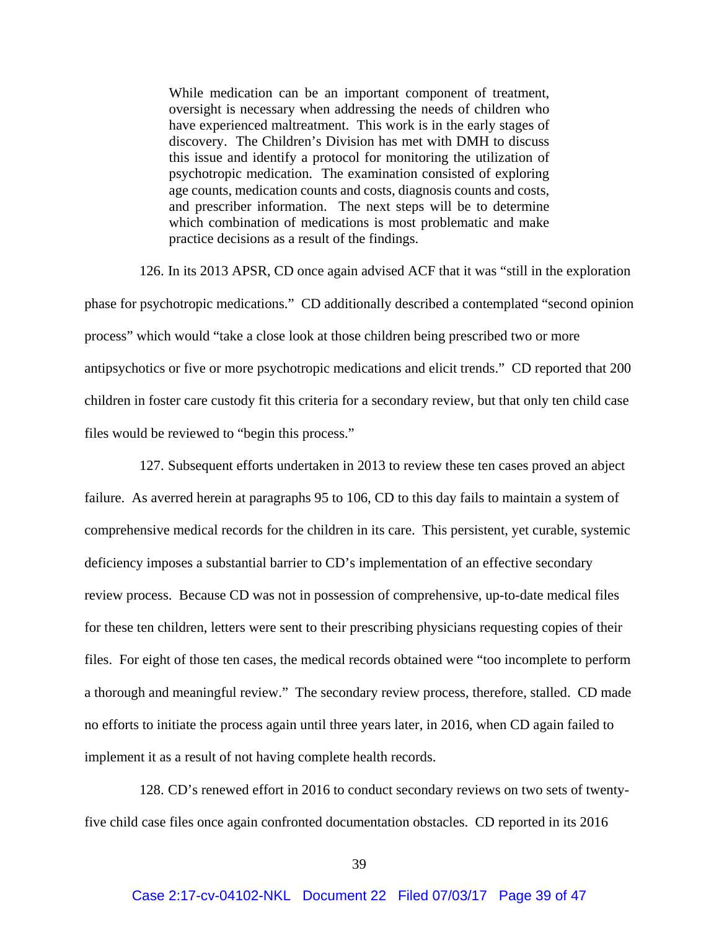While medication can be an important component of treatment, oversight is necessary when addressing the needs of children who have experienced maltreatment. This work is in the early stages of discovery. The Children's Division has met with DMH to discuss this issue and identify a protocol for monitoring the utilization of psychotropic medication. The examination consisted of exploring age counts, medication counts and costs, diagnosis counts and costs, and prescriber information. The next steps will be to determine which combination of medications is most problematic and make practice decisions as a result of the findings.

126. In its 2013 APSR, CD once again advised ACF that it was "still in the exploration phase for psychotropic medications." CD additionally described a contemplated "second opinion process" which would "take a close look at those children being prescribed two or more antipsychotics or five or more psychotropic medications and elicit trends." CD reported that 200 children in foster care custody fit this criteria for a secondary review, but that only ten child case files would be reviewed to "begin this process."

127. Subsequent efforts undertaken in 2013 to review these ten cases proved an abject failure. As averred herein at paragraphs 95 to 106, CD to this day fails to maintain a system of comprehensive medical records for the children in its care. This persistent, yet curable, systemic deficiency imposes a substantial barrier to CD's implementation of an effective secondary review process. Because CD was not in possession of comprehensive, up-to-date medical files for these ten children, letters were sent to their prescribing physicians requesting copies of their files. For eight of those ten cases, the medical records obtained were "too incomplete to perform a thorough and meaningful review." The secondary review process, therefore, stalled. CD made no efforts to initiate the process again until three years later, in 2016, when CD again failed to implement it as a result of not having complete health records.

128. CD's renewed effort in 2016 to conduct secondary reviews on two sets of twentyfive child case files once again confronted documentation obstacles. CD reported in its 2016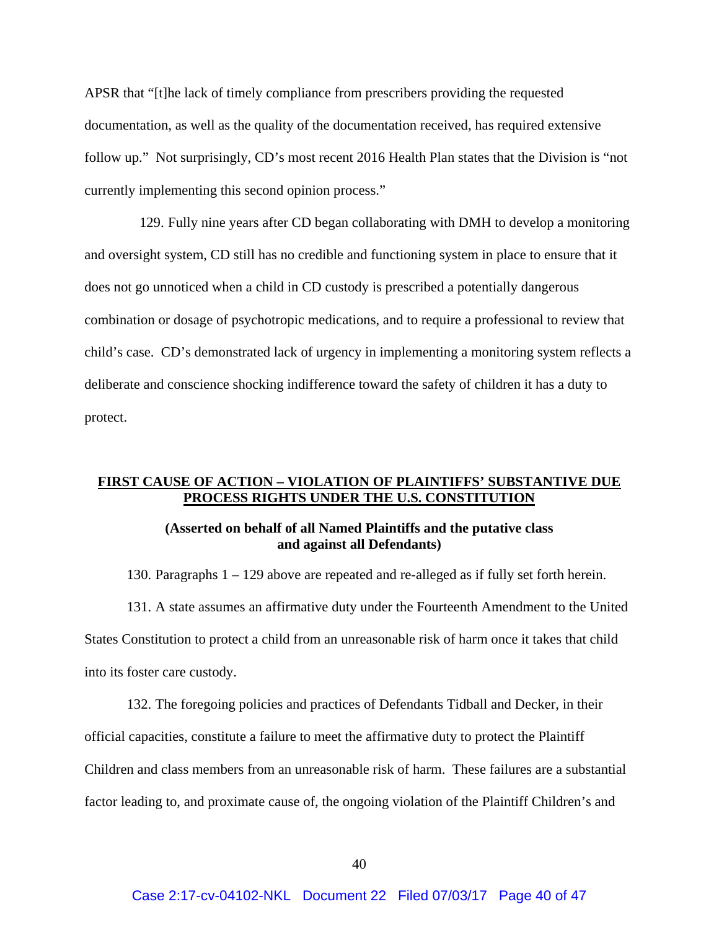APSR that "[t]he lack of timely compliance from prescribers providing the requested documentation, as well as the quality of the documentation received, has required extensive follow up." Not surprisingly, CD's most recent 2016 Health Plan states that the Division is "not currently implementing this second opinion process."

129. Fully nine years after CD began collaborating with DMH to develop a monitoring and oversight system, CD still has no credible and functioning system in place to ensure that it does not go unnoticed when a child in CD custody is prescribed a potentially dangerous combination or dosage of psychotropic medications, and to require a professional to review that child's case. CD's demonstrated lack of urgency in implementing a monitoring system reflects a deliberate and conscience shocking indifference toward the safety of children it has a duty to protect.

## **FIRST CAUSE OF ACTION – VIOLATION OF PLAINTIFFS' SUBSTANTIVE DUE PROCESS RIGHTS UNDER THE U.S. CONSTITUTION**

## **(Asserted on behalf of all Named Plaintiffs and the putative class and against all Defendants)**

130. Paragraphs 1 – 129 above are repeated and re-alleged as if fully set forth herein.

131. A state assumes an affirmative duty under the Fourteenth Amendment to the United States Constitution to protect a child from an unreasonable risk of harm once it takes that child into its foster care custody.

132. The foregoing policies and practices of Defendants Tidball and Decker, in their official capacities, constitute a failure to meet the affirmative duty to protect the Plaintiff Children and class members from an unreasonable risk of harm. These failures are a substantial

factor leading to, and proximate cause of, the ongoing violation of the Plaintiff Children's and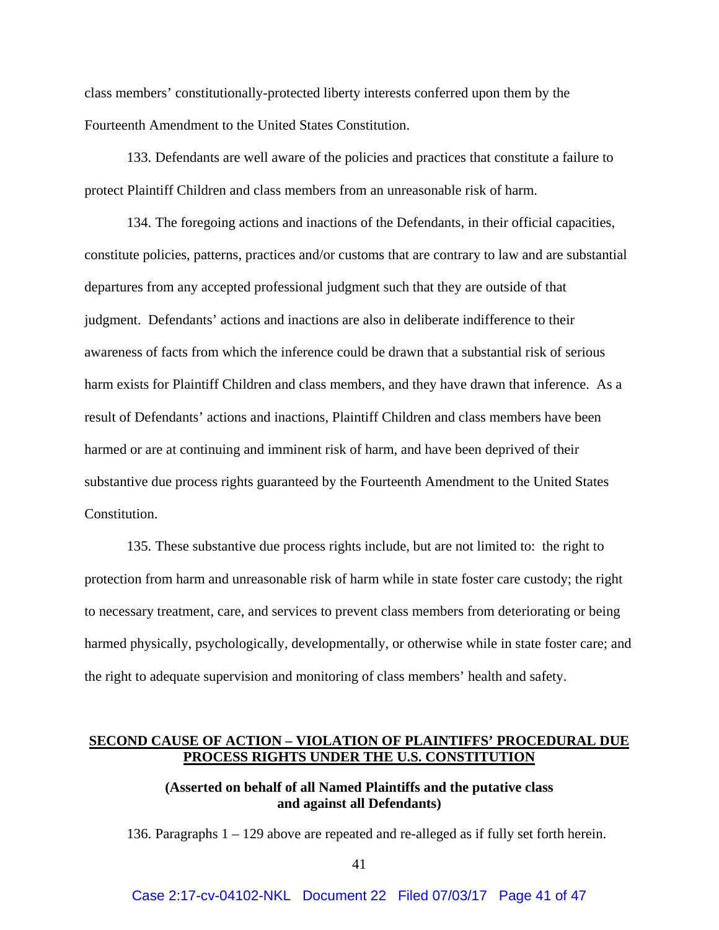class members' constitutionally-protected liberty interests conferred upon them by the Fourteenth Amendment to the United States Constitution.

133. Defendants are well aware of the policies and practices that constitute a failure to protect Plaintiff Children and class members from an unreasonable risk of harm.

134. The foregoing actions and inactions of the Defendants, in their official capacities, constitute policies, patterns, practices and/or customs that are contrary to law and are substantial departures from any accepted professional judgment such that they are outside of that judgment. Defendants' actions and inactions are also in deliberate indifference to their awareness of facts from which the inference could be drawn that a substantial risk of serious harm exists for Plaintiff Children and class members, and they have drawn that inference. As a result of Defendants' actions and inactions, Plaintiff Children and class members have been harmed or are at continuing and imminent risk of harm, and have been deprived of their substantive due process rights guaranteed by the Fourteenth Amendment to the United States Constitution.

135. These substantive due process rights include, but are not limited to: the right to protection from harm and unreasonable risk of harm while in state foster care custody; the right to necessary treatment, care, and services to prevent class members from deteriorating or being harmed physically, psychologically, developmentally, or otherwise while in state foster care; and the right to adequate supervision and monitoring of class members' health and safety.

## **SECOND CAUSE OF ACTION – VIOLATION OF PLAINTIFFS' PROCEDURAL DUE PROCESS RIGHTS UNDER THE U.S. CONSTITUTION**

# **(Asserted on behalf of all Named Plaintiffs and the putative class and against all Defendants)**

136. Paragraphs 1 – 129 above are repeated and re-alleged as if fully set forth herein.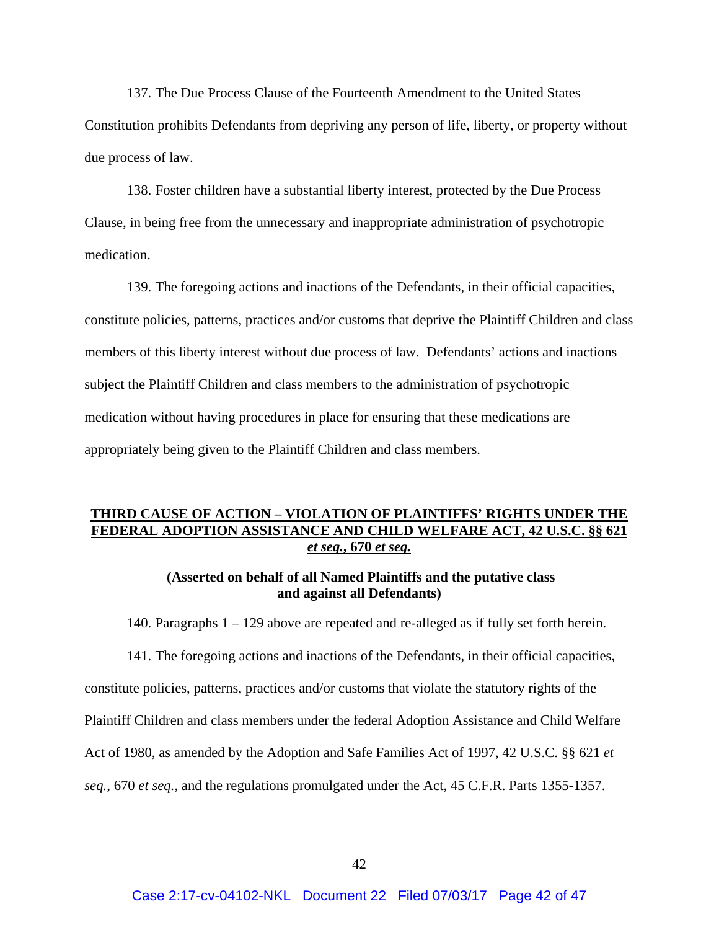137. The Due Process Clause of the Fourteenth Amendment to the United States Constitution prohibits Defendants from depriving any person of life, liberty, or property without due process of law.

138. Foster children have a substantial liberty interest, protected by the Due Process Clause, in being free from the unnecessary and inappropriate administration of psychotropic medication.

139. The foregoing actions and inactions of the Defendants, in their official capacities, constitute policies, patterns, practices and/or customs that deprive the Plaintiff Children and class members of this liberty interest without due process of law. Defendants' actions and inactions subject the Plaintiff Children and class members to the administration of psychotropic medication without having procedures in place for ensuring that these medications are appropriately being given to the Plaintiff Children and class members.

# **THIRD CAUSE OF ACTION – VIOLATION OF PLAINTIFFS' RIGHTS UNDER THE FEDERAL ADOPTION ASSISTANCE AND CHILD WELFARE ACT, 42 U.S.C. §§ 621**  *et seq.***, 670** *et seq.*

## **(Asserted on behalf of all Named Plaintiffs and the putative class and against all Defendants)**

140. Paragraphs 1 – 129 above are repeated and re-alleged as if fully set forth herein.

141. The foregoing actions and inactions of the Defendants, in their official capacities, constitute policies, patterns, practices and/or customs that violate the statutory rights of the Plaintiff Children and class members under the federal Adoption Assistance and Child Welfare Act of 1980, as amended by the Adoption and Safe Families Act of 1997, 42 U.S.C. §§ 621 *et seq.*, 670 *et seq.*, and the regulations promulgated under the Act, 45 C.F.R. Parts 1355-1357.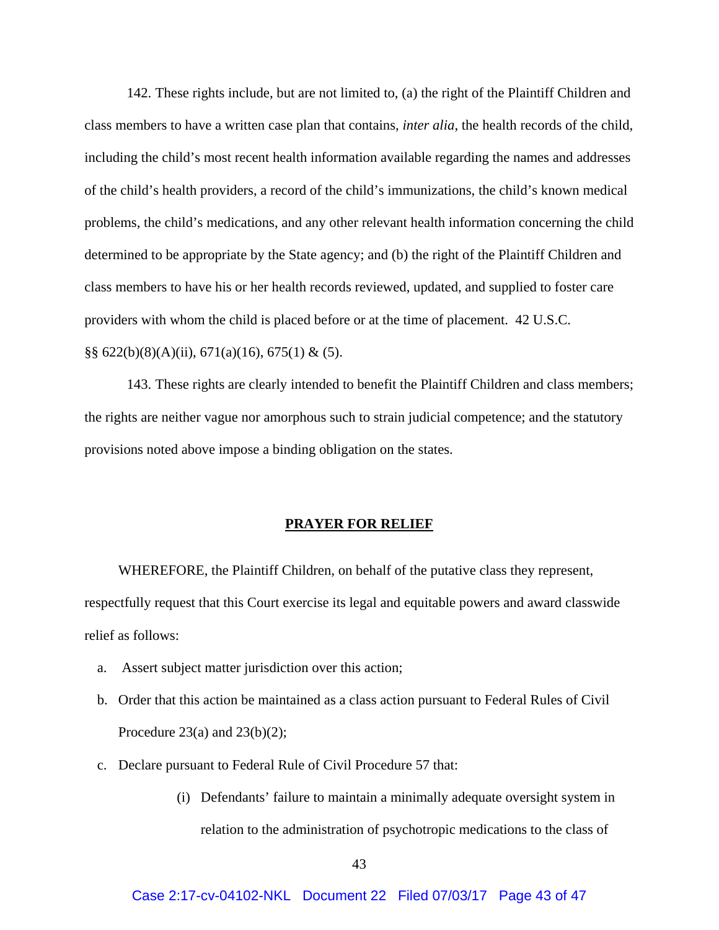142. These rights include, but are not limited to, (a) the right of the Plaintiff Children and class members to have a written case plan that contains, *inter alia*, the health records of the child, including the child's most recent health information available regarding the names and addresses of the child's health providers, a record of the child's immunizations, the child's known medical problems, the child's medications, and any other relevant health information concerning the child determined to be appropriate by the State agency; and (b) the right of the Plaintiff Children and class members to have his or her health records reviewed, updated, and supplied to foster care providers with whom the child is placed before or at the time of placement. 42 U.S.C.  $\S\S 622(b)(8)(A)(ii)$ , 671(a)(16), 675(1) & (5).

143. These rights are clearly intended to benefit the Plaintiff Children and class members; the rights are neither vague nor amorphous such to strain judicial competence; and the statutory provisions noted above impose a binding obligation on the states.

#### **PRAYER FOR RELIEF**

WHEREFORE, the Plaintiff Children, on behalf of the putative class they represent, respectfully request that this Court exercise its legal and equitable powers and award classwide relief as follows:

- a. Assert subject matter jurisdiction over this action;
- b. Order that this action be maintained as a class action pursuant to Federal Rules of Civil Procedure 23(a) and 23(b)(2);
- c. Declare pursuant to Federal Rule of Civil Procedure 57 that:
	- (i) Defendants' failure to maintain a minimally adequate oversight system in relation to the administration of psychotropic medications to the class of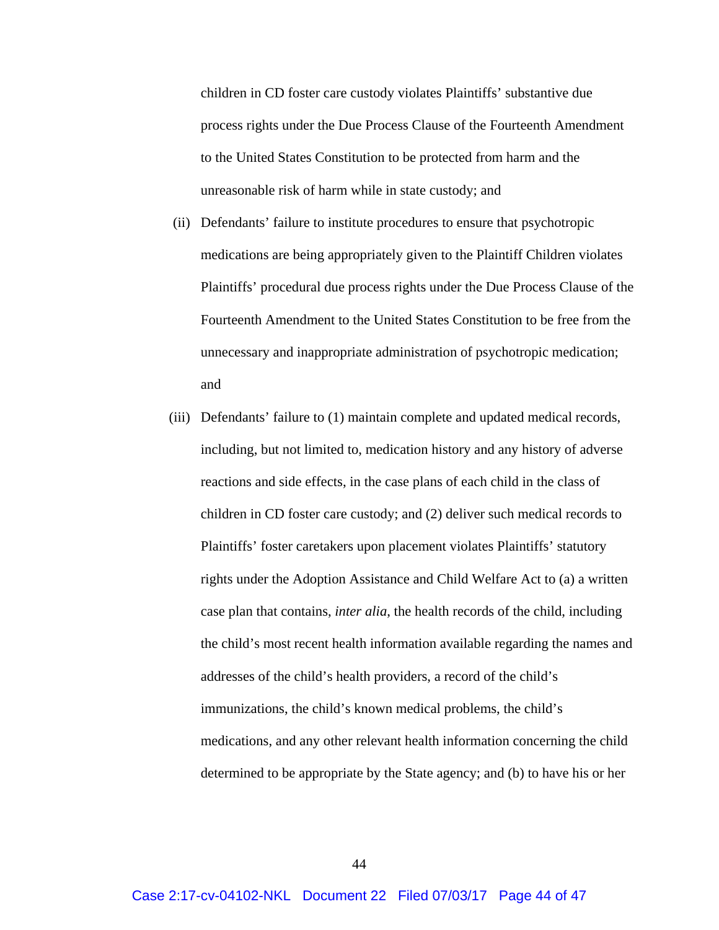children in CD foster care custody violates Plaintiffs' substantive due process rights under the Due Process Clause of the Fourteenth Amendment to the United States Constitution to be protected from harm and the unreasonable risk of harm while in state custody; and

- (ii) Defendants' failure to institute procedures to ensure that psychotropic medications are being appropriately given to the Plaintiff Children violates Plaintiffs' procedural due process rights under the Due Process Clause of the Fourteenth Amendment to the United States Constitution to be free from the unnecessary and inappropriate administration of psychotropic medication; and
- (iii) Defendants' failure to (1) maintain complete and updated medical records, including, but not limited to, medication history and any history of adverse reactions and side effects, in the case plans of each child in the class of children in CD foster care custody; and (2) deliver such medical records to Plaintiffs' foster caretakers upon placement violates Plaintiffs' statutory rights under the Adoption Assistance and Child Welfare Act to (a) a written case plan that contains, *inter alia*, the health records of the child, including the child's most recent health information available regarding the names and addresses of the child's health providers, a record of the child's immunizations, the child's known medical problems, the child's medications, and any other relevant health information concerning the child determined to be appropriate by the State agency; and (b) to have his or her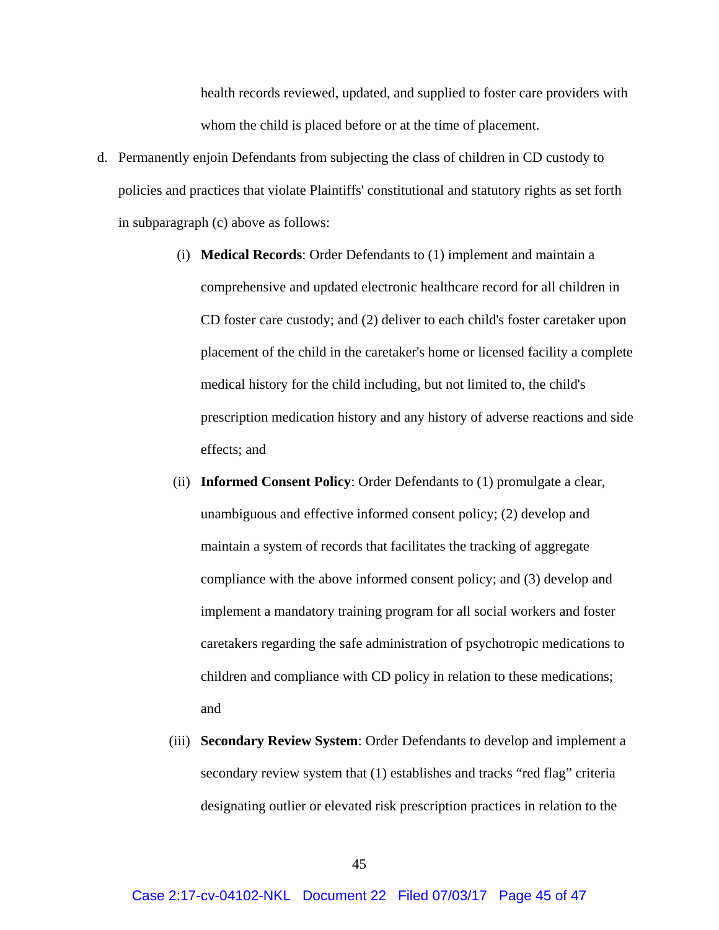health records reviewed, updated, and supplied to foster care providers with whom the child is placed before or at the time of placement.

- d. Permanently enjoin Defendants from subjecting the class of children in CD custody to policies and practices that violate Plaintiffs' constitutional and statutory rights as set forth in subparagraph (c) above as follows:
	- (i) **Medical Records**: Order Defendants to (1) implement and maintain a comprehensive and updated electronic healthcare record for all children in CD foster care custody; and (2) deliver to each child's foster caretaker upon placement of the child in the caretaker's home or licensed facility a complete medical history for the child including, but not limited to, the child's prescription medication history and any history of adverse reactions and side effects; and
	- (ii) **Informed Consent Policy**: Order Defendants to (1) promulgate a clear, unambiguous and effective informed consent policy; (2) develop and maintain a system of records that facilitates the tracking of aggregate compliance with the above informed consent policy; and (3) develop and implement a mandatory training program for all social workers and foster caretakers regarding the safe administration of psychotropic medications to children and compliance with CD policy in relation to these medications; and
	- (iii) **Secondary Review System**: Order Defendants to develop and implement a secondary review system that (1) establishes and tracks "red flag" criteria designating outlier or elevated risk prescription practices in relation to the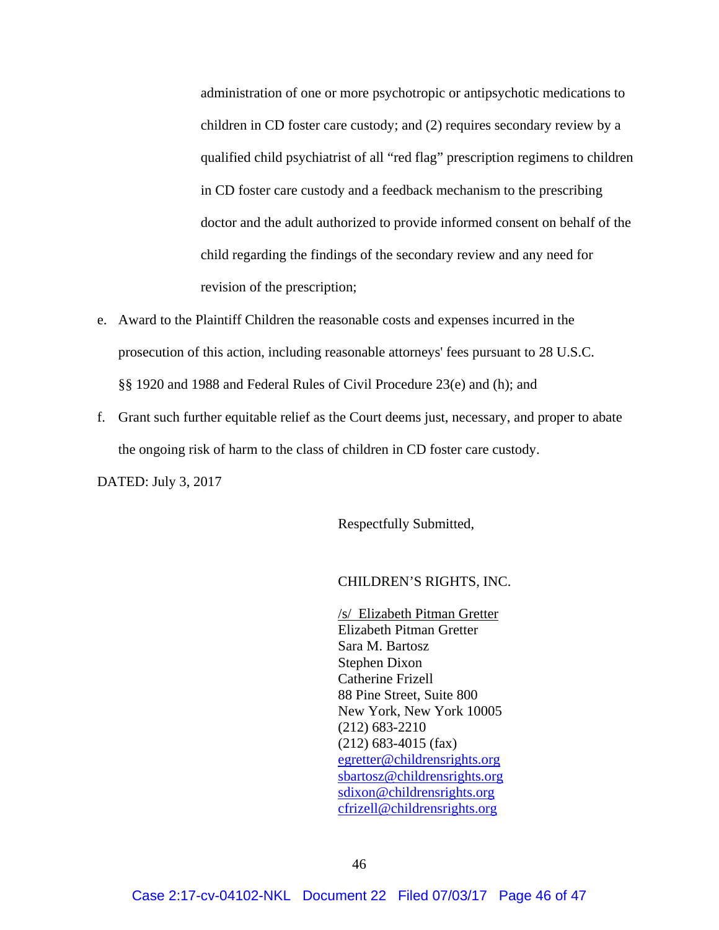administration of one or more psychotropic or antipsychotic medications to children in CD foster care custody; and (2) requires secondary review by a qualified child psychiatrist of all "red flag" prescription regimens to children in CD foster care custody and a feedback mechanism to the prescribing doctor and the adult authorized to provide informed consent on behalf of the child regarding the findings of the secondary review and any need for revision of the prescription;

- e. Award to the Plaintiff Children the reasonable costs and expenses incurred in the prosecution of this action, including reasonable attorneys' fees pursuant to 28 U.S.C. §§ 1920 and 1988 and Federal Rules of Civil Procedure 23(e) and (h); and
- f. Grant such further equitable relief as the Court deems just, necessary, and proper to abate the ongoing risk of harm to the class of children in CD foster care custody.

DATED: July 3, 2017

Respectfully Submitted,

### CHILDREN'S RIGHTS, INC.

/s/ Elizabeth Pitman Gretter Elizabeth Pitman Gretter Sara M. Bartosz Stephen Dixon Catherine Frizell 88 Pine Street, Suite 800 New York, New York 10005 (212) 683-2210 (212) 683-4015 (fax) egretter@childrensrights.org sbartosz@childrensrights.org sdixon@childrensrights.org cfrizell@childrensrights.org